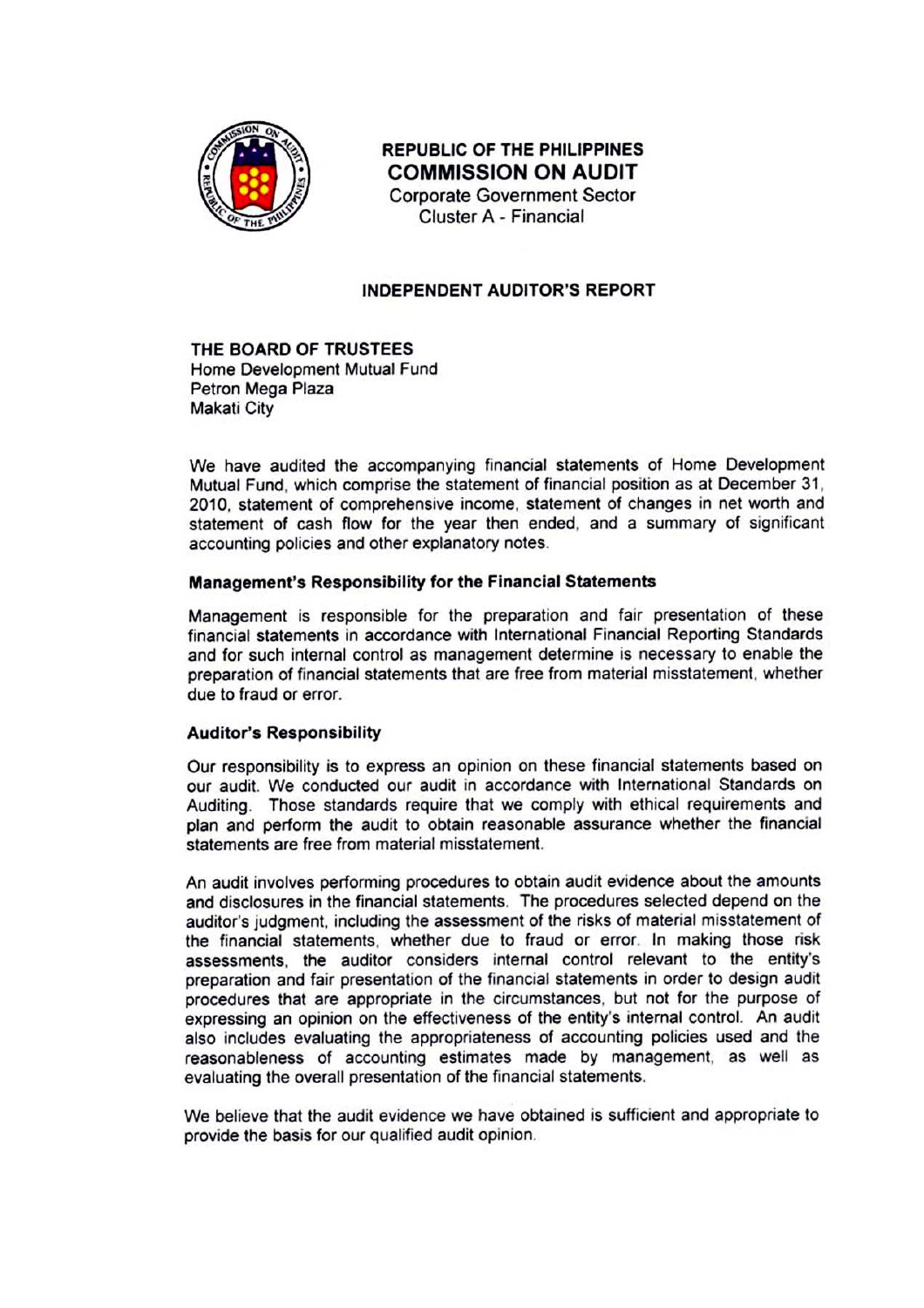

**REPUBLIC OF THE PHILIPPINES COMMISSION ON AUDIT Corporate Government Sector** Cluster A - Financial

## **INDEPENDENT AUDITOR'S REPORT**

### THE BOARD OF TRUSTEES Home Development Mutual Fund Petron Mega Plaza **Makati City**

We have audited the accompanying financial statements of Home Development Mutual Fund, which comprise the statement of financial position as at December 31. 2010, statement of comprehensive income, statement of changes in net worth and statement of cash flow for the year then ended, and a summary of significant accounting policies and other explanatory notes.

## **Management's Responsibility for the Financial Statements**

Management is responsible for the preparation and fair presentation of these financial statements in accordance with International Financial Reporting Standards and for such internal control as management determine is necessary to enable the preparation of financial statements that are free from material misstatement, whether due to fraud or error.

## **Auditor's Responsibility**

Our responsibility is to express an opinion on these financial statements based on our audit. We conducted our audit in accordance with International Standards on Auditing. Those standards require that we comply with ethical requirements and plan and perform the audit to obtain reasonable assurance whether the financial statements are free from material misstatement.

An audit involves performing procedures to obtain audit evidence about the amounts and disclosures in the financial statements. The procedures selected depend on the auditor's judgment, including the assessment of the risks of material misstatement of the financial statements, whether due to fraud or error. In making those risk assessments, the auditor considers internal control relevant to the entity's preparation and fair presentation of the financial statements in order to design audit procedures that are appropriate in the circumstances, but not for the purpose of expressing an opinion on the effectiveness of the entity's internal control. An audit also includes evaluating the appropriateness of accounting policies used and the reasonableness of accounting estimates made by management, as well as evaluating the overall presentation of the financial statements.

We believe that the audit evidence we have obtained is sufficient and appropriate to provide the basis for our qualified audit opinion.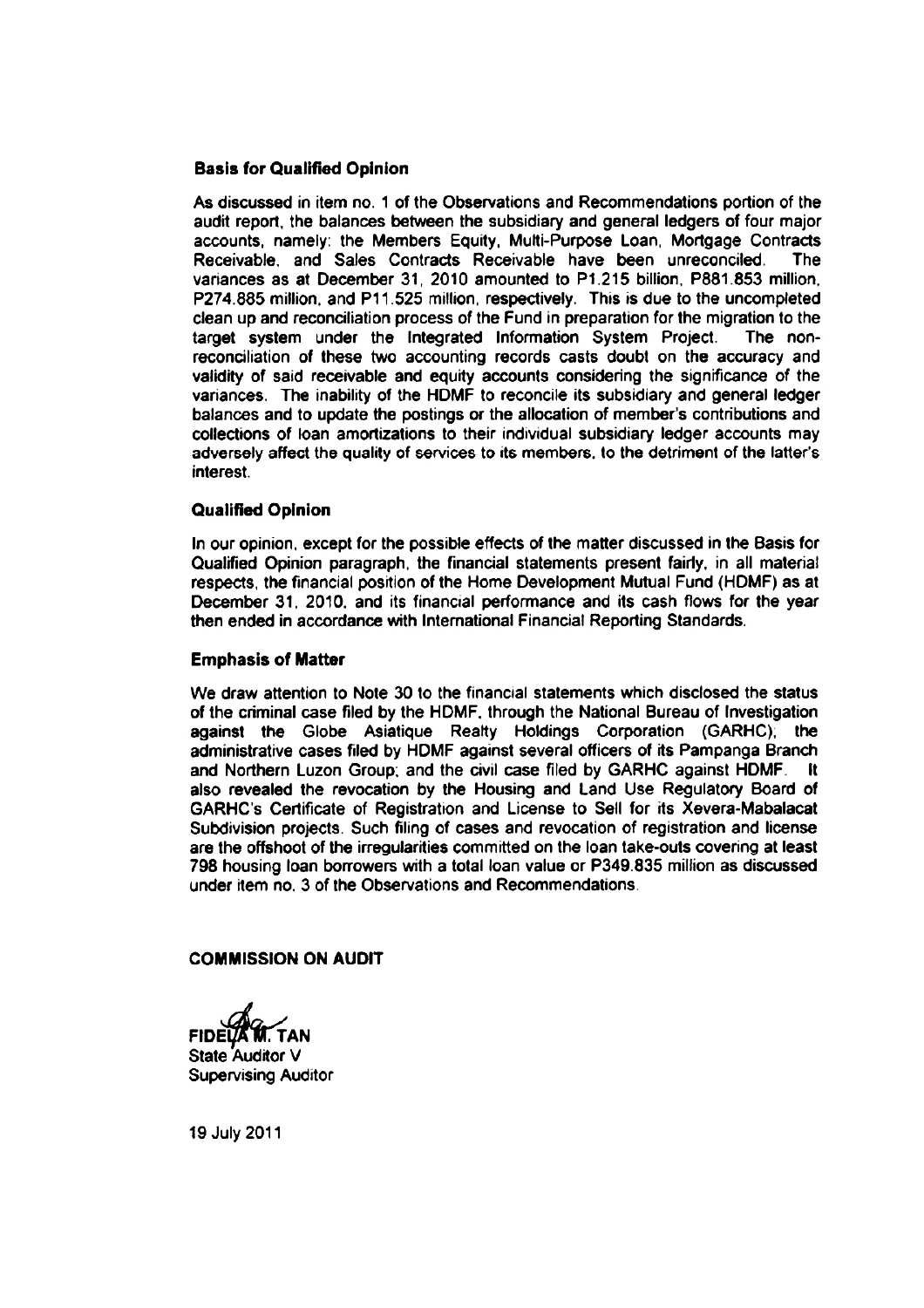### **Basis for Qualified Opinion**

As discussed in item no. 1 of the Observations and Recommendations portion of the audit report, the balances between the subsidiary and general ledgers of four major accounts, namely; the Members Equity, Multi-Purpose Loan, Mortgage Contracts Receivable, and Sales Contracts Receivable have been unreconciled. **The** variances as at December 31, 2010 amounted to P1.215 billion, P881.853 million, P274.885 million, and P11.525 million, respectively. This is due to the uncompleted clean up and reconciliation process of the Fund in preparation for the migration to the target system under the Integrated Information System Project. The nonreconciliation of these two accounting records casts doubt on the accuracy and validity of said receivable and equity accounts considering the significance of the variances. The inability of the HDMF to reconcile its subsidiary and general ledger balances and to update the postings or the allocation of member's contributions and collections of loan amortizations to their individual subsidiary ledger accounts may adversely affect the quality of services to its members, to the detriment of the latter's *interest* 

### **Qualified Opinion**

In our opinion, except for the possible effects of the matter discussed in the Basis for Qualified Opinion paragraph, the financial statements present fairly, in all material respects, the financial position of the Home Development Mutual Fund (HDMF) as at December 31, 2010, and its financial performance and its cash flows for the year then ended in accordance with International Financial Reporting Standards.

### **Emphasis of Matter**

We draw attention to Note 30 to the financial statements which disclosed the status of the criminal case filed by the HDMF, through the National Bureau of Investigation against the Globe Asiatique Realty Holdings Corporation (GARHC); the administrative cases filed by HDMF against several officers of its Pampanga Branch and Northern Luzon Group; and the civil case filed by GARHC against HDMF. It also revealed the revocation by the Housing and Land Use Regulatory Board of GARHC's Certificate of Registration and License to Sell for its Xevera-Mabalacat Subdivision projects. Such filing of cases and revocation of registration and license are the offshoot of the irregularities committed on the loan take-outs covering at least 798 housing loan borrowers with a total loan value or P349.835 million as discussed under item no. 3 of the Observations and Recommendations.

### **COMMISSION ON AUDIT**

**FIDEL!** 

**State Auditor V Supervising Auditor** 

19 July 2011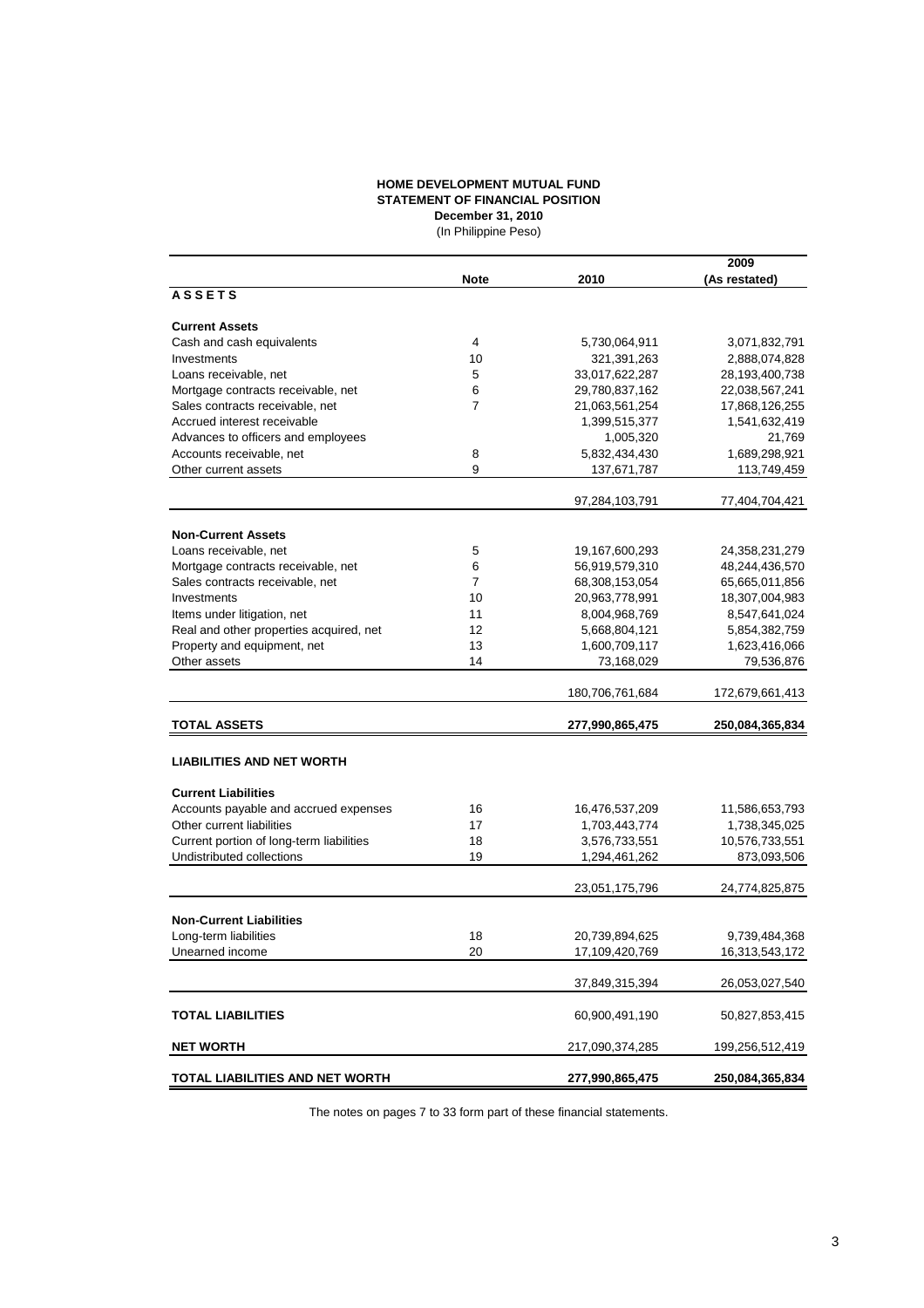#### **HOME DEVELOPMENT MUTUAL FUND STATEMENT OF FINANCIAL POSITION December 31, 2010**

(In Philippine Peso)

|                                          |                |                 | 2009            |
|------------------------------------------|----------------|-----------------|-----------------|
|                                          | <b>Note</b>    | 2010            | (As restated)   |
| <b>ASSETS</b>                            |                |                 |                 |
| <b>Current Assets</b>                    |                |                 |                 |
| Cash and cash equivalents                | 4              | 5,730,064,911   | 3,071,832,791   |
| Investments                              | 10             | 321,391,263     | 2,888,074,828   |
| Loans receivable, net                    | 5              | 33,017,622,287  | 28,193,400,738  |
| Mortgage contracts receivable, net       | 6              | 29,780,837,162  | 22,038,567,241  |
| Sales contracts receivable, net          | 7              | 21,063,561,254  | 17,868,126,255  |
| Accrued interest receivable              |                | 1,399,515,377   | 1,541,632,419   |
| Advances to officers and employees       |                | 1,005,320       | 21,769          |
| Accounts receivable, net                 | 8              | 5,832,434,430   | 1,689,298,921   |
| Other current assets                     | 9              | 137,671,787     | 113,749,459     |
|                                          |                | 97,284,103,791  | 77,404,704,421  |
| <b>Non-Current Assets</b>                |                |                 |                 |
| Loans receivable, net                    | 5              | 19,167,600,293  | 24,358,231,279  |
| Mortgage contracts receivable, net       | 6              | 56,919,579,310  | 48,244,436,570  |
| Sales contracts receivable, net          | $\overline{7}$ | 68,308,153,054  | 65,665,011,856  |
| Investments                              | 10             | 20,963,778,991  | 18,307,004,983  |
| Items under litigation, net              | 11             | 8,004,968,769   | 8,547,641,024   |
| Real and other properties acquired, net  | 12             | 5,668,804,121   | 5,854,382,759   |
| Property and equipment, net              | 13             | 1,600,709,117   | 1,623,416,066   |
| Other assets                             | 14             | 73,168,029      | 79,536,876      |
|                                          |                |                 |                 |
|                                          |                | 180,706,761,684 | 172,679,661,413 |
| TOTAL ASSETS                             |                | 277,990,865,475 | 250,084,365,834 |
| <b>LIABILITIES AND NET WORTH</b>         |                |                 |                 |
| <b>Current Liabilities</b>               |                |                 |                 |
| Accounts payable and accrued expenses    | 16             | 16,476,537,209  | 11,586,653,793  |
| Other current liabilities                | 17             | 1,703,443,774   | 1,738,345,025   |
| Current portion of long-term liabilities | 18             | 3,576,733,551   | 10,576,733,551  |
| Undistributed collections                | 19             | 1,294,461,262   | 873,093,506     |
|                                          |                | 23,051,175,796  | 24,774,825,875  |
| <b>Non-Current Liabilities</b>           |                |                 |                 |
| Long-term liabilities                    | 18             | 20,739,894,625  | 9,739,484,368   |
| Unearned income                          | 20             | 17,109,420,769  | 16,313,543,172  |
|                                          |                |                 |                 |
|                                          |                | 37,849,315,394  | 26,053,027,540  |
| TOTAL LIABILITIES                        |                | 60,900,491,190  | 50,827,853,415  |
| <b>NET WORTH</b>                         |                | 217,090,374,285 | 199,256,512,419 |
| TOTAL LIABILITIES AND NET WORTH          |                | 277,990,865,475 | 250,084,365,834 |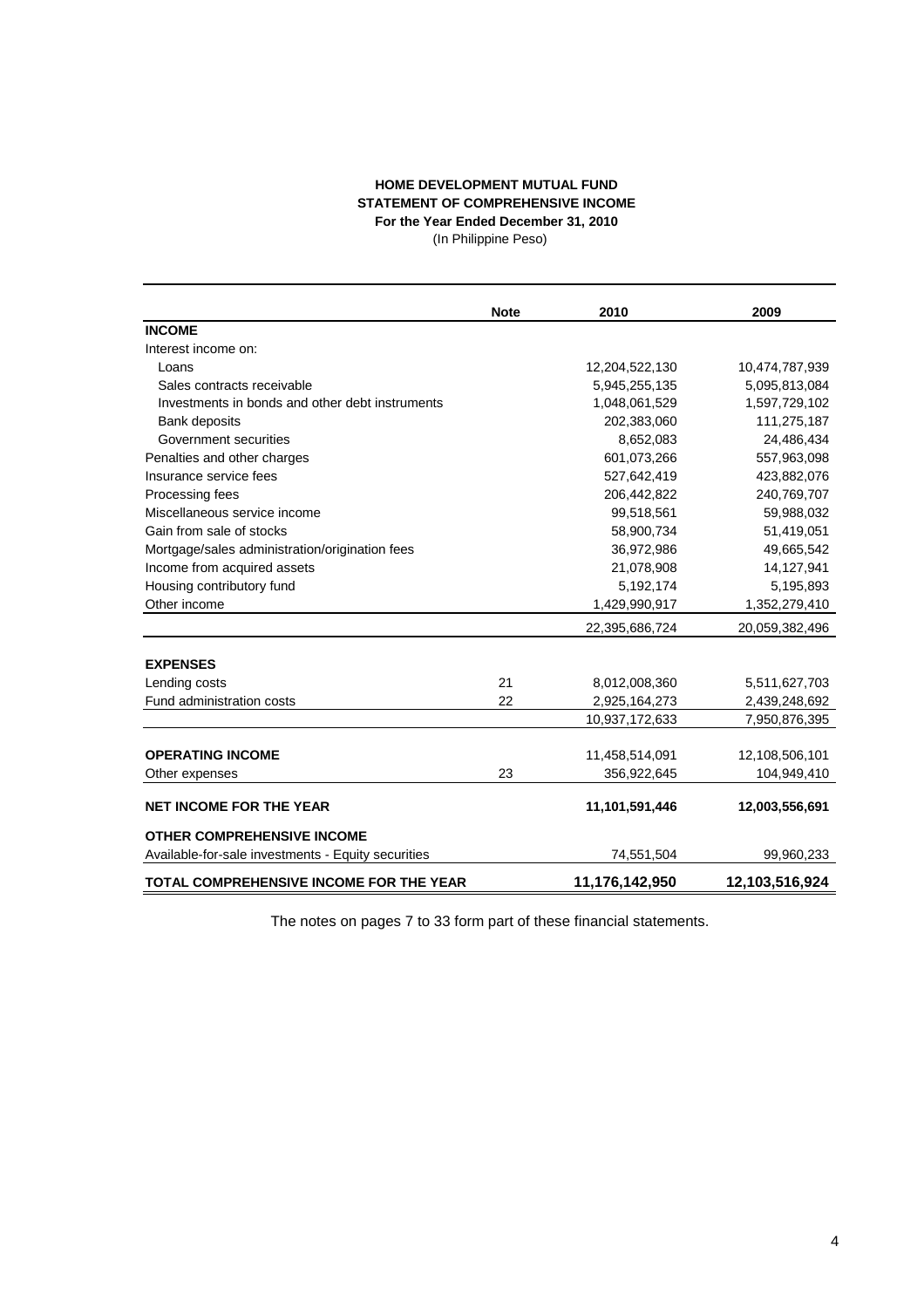#### **HOME DEVELOPMENT MUTUAL FUND STATEMENT OF COMPREHENSIVE INCOME For the Year Ended December 31, 2010** (In Philippine Peso)

| <b>INCOME</b>                                      | <b>Note</b> | 2010           | 2009           |
|----------------------------------------------------|-------------|----------------|----------------|
|                                                    |             |                |                |
| Interest income on:                                |             |                |                |
| Loans                                              |             | 12,204,522,130 | 10,474,787,939 |
| Sales contracts receivable                         |             | 5,945,255,135  | 5,095,813,084  |
| Investments in bonds and other debt instruments    |             | 1,048,061,529  | 1,597,729,102  |
| <b>Bank deposits</b>                               |             | 202,383,060    | 111,275,187    |
| Government securities                              |             | 8,652,083      | 24,486,434     |
| Penalties and other charges                        |             | 601,073,266    | 557,963,098    |
| Insurance service fees                             |             | 527,642,419    | 423,882,076    |
| Processing fees                                    |             | 206,442,822    | 240,769,707    |
| Miscellaneous service income                       |             | 99,518,561     | 59,988,032     |
| Gain from sale of stocks                           |             | 58,900,734     | 51,419,051     |
| Mortgage/sales administration/origination fees     |             | 36,972,986     | 49,665,542     |
| Income from acquired assets                        |             | 21,078,908     | 14,127,941     |
| Housing contributory fund                          |             | 5,192,174      | 5,195,893      |
| Other income                                       |             | 1,429,990,917  | 1,352,279,410  |
|                                                    |             | 22,395,686,724 | 20,059,382,496 |
| <b>EXPENSES</b>                                    |             |                |                |
| Lending costs                                      | 21          | 8,012,008,360  | 5,511,627,703  |
| Fund administration costs                          | 22          | 2,925,164,273  | 2,439,248,692  |
|                                                    |             | 10,937,172,633 | 7,950,876,395  |
|                                                    |             |                |                |
| <b>OPERATING INCOME</b>                            |             | 11,458,514,091 | 12,108,506,101 |
| Other expenses                                     | 23          | 356,922,645    | 104,949,410    |
| <b>NET INCOME FOR THE YEAR</b>                     |             | 11,101,591,446 | 12,003,556,691 |
| <b>OTHER COMPREHENSIVE INCOME</b>                  |             |                |                |
| Available-for-sale investments - Equity securities |             | 74,551,504     | 99,960,233     |
| <b>TOTAL COMPREHENSIVE INCOME FOR THE YEAR</b>     |             | 11,176,142,950 | 12,103,516,924 |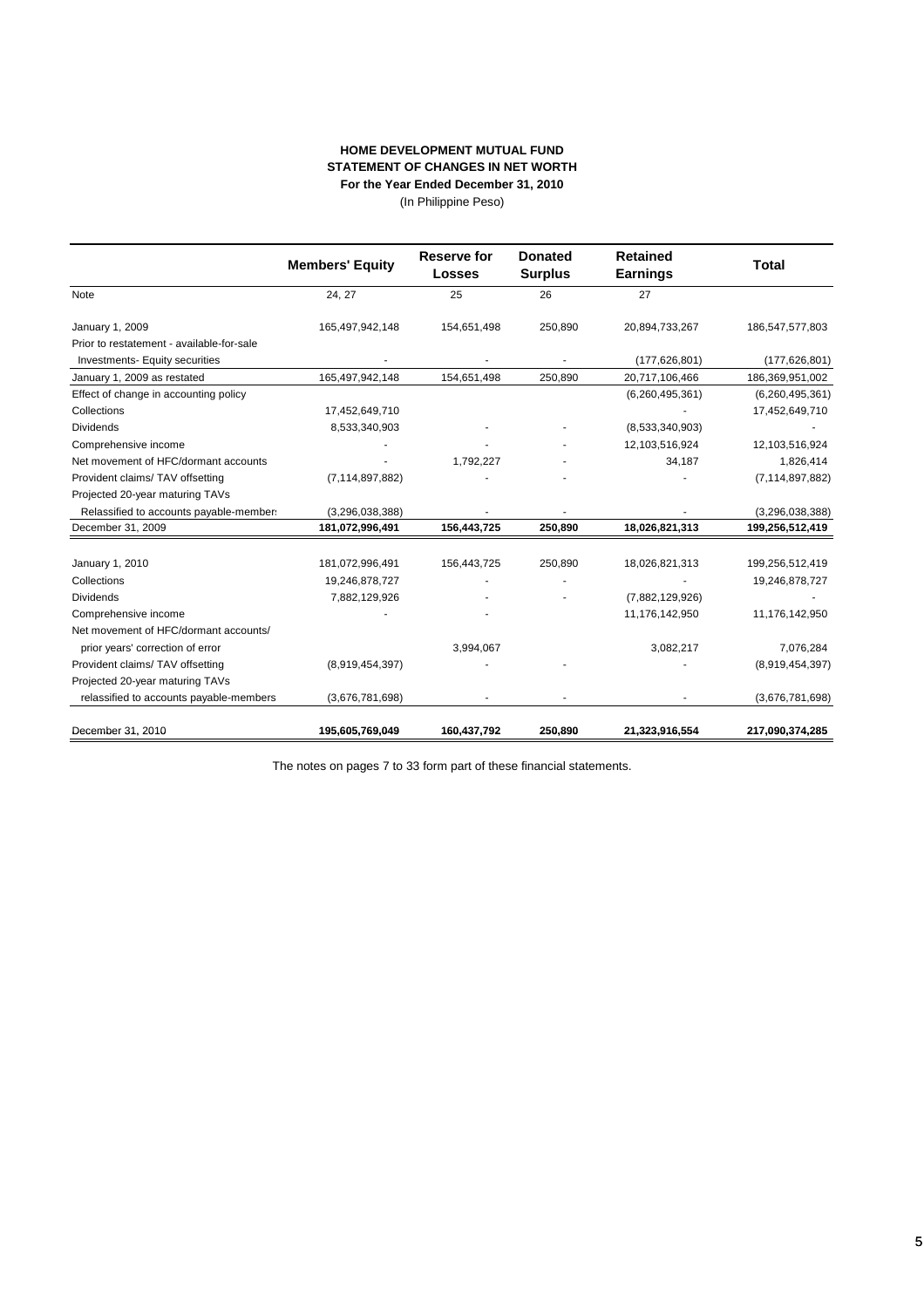#### **HOME DEVELOPMENT MUTUAL FUND STATEMENT OF CHANGES IN NET WORTH For the Year Ended December 31, 2010** (In Philippine Peso)

|                                           | <b>Members' Equity</b> | <b>Reserve for</b><br><b>Losses</b> | <b>Donated</b><br><b>Surplus</b> | <b>Retained</b><br><b>Earnings</b> | <b>Total</b>       |
|-------------------------------------------|------------------------|-------------------------------------|----------------------------------|------------------------------------|--------------------|
| Note                                      | 24, 27                 | 25                                  | 26                               | 27                                 |                    |
| January 1, 2009                           | 165,497,942,148        | 154,651,498                         | 250,890                          | 20,894,733,267                     | 186,547,577,803    |
| Prior to restatement - available-for-sale |                        |                                     |                                  |                                    |                    |
| <b>Investments-Equity securities</b>      |                        |                                     |                                  | (177, 626, 801)                    | (177, 626, 801)    |
| January 1, 2009 as restated               | 165,497,942,148        | 154,651,498                         | 250,890                          | 20,717,106,466                     | 186,369,951,002    |
| Effect of change in accounting policy     |                        |                                     |                                  | (6,260,495,361)                    | (6,260,495,361)    |
| Collections                               | 17,452,649,710         |                                     |                                  |                                    | 17,452,649,710     |
| <b>Dividends</b>                          | 8,533,340,903          |                                     |                                  | (8,533,340,903)                    |                    |
| Comprehensive income                      |                        |                                     |                                  | 12,103,516,924                     | 12,103,516,924     |
| Net movement of HFC/dormant accounts      |                        | 1,792,227                           |                                  | 34,187                             | 1,826,414          |
| Provident claims/ TAV offsetting          | (7, 114, 897, 882)     |                                     |                                  |                                    | (7, 114, 897, 882) |
| Projected 20-year maturing TAVs           |                        |                                     |                                  |                                    |                    |
| Relassified to accounts payable-member    | (3,296,038,388)        |                                     |                                  |                                    | (3,296,038,388)    |
| December 31, 2009                         | 181,072,996,491        | 156,443,725                         | 250,890                          | 18,026,821,313                     | 199,256,512,419    |
| January 1, 2010                           | 181,072,996,491        | 156,443,725                         | 250,890                          | 18,026,821,313                     | 199,256,512,419    |
| Collections                               | 19,246,878,727         |                                     |                                  |                                    | 19,246,878,727     |
| <b>Dividends</b>                          | 7,882,129,926          |                                     |                                  | (7,882,129,926)                    |                    |
| Comprehensive income                      |                        |                                     |                                  | 11,176,142,950                     | 11,176,142,950     |
| Net movement of HFC/dormant accounts/     |                        |                                     |                                  |                                    |                    |
|                                           |                        |                                     |                                  | 3,082,217                          |                    |
| prior years' correction of error          |                        | 3,994,067                           |                                  |                                    | 7,076,284          |
| Provident claims/ TAV offsetting          | (8,919,454,397)        |                                     |                                  |                                    | (8,919,454,397)    |
| Projected 20-year maturing TAVs           |                        |                                     |                                  |                                    |                    |
| relassified to accounts payable-members   | (3,676,781,698)        |                                     |                                  |                                    | (3,676,781,698)    |
| December 31, 2010                         | 195,605,769,049        | 160,437,792                         | 250.890                          | 21,323,916,554                     | 217,090,374,285    |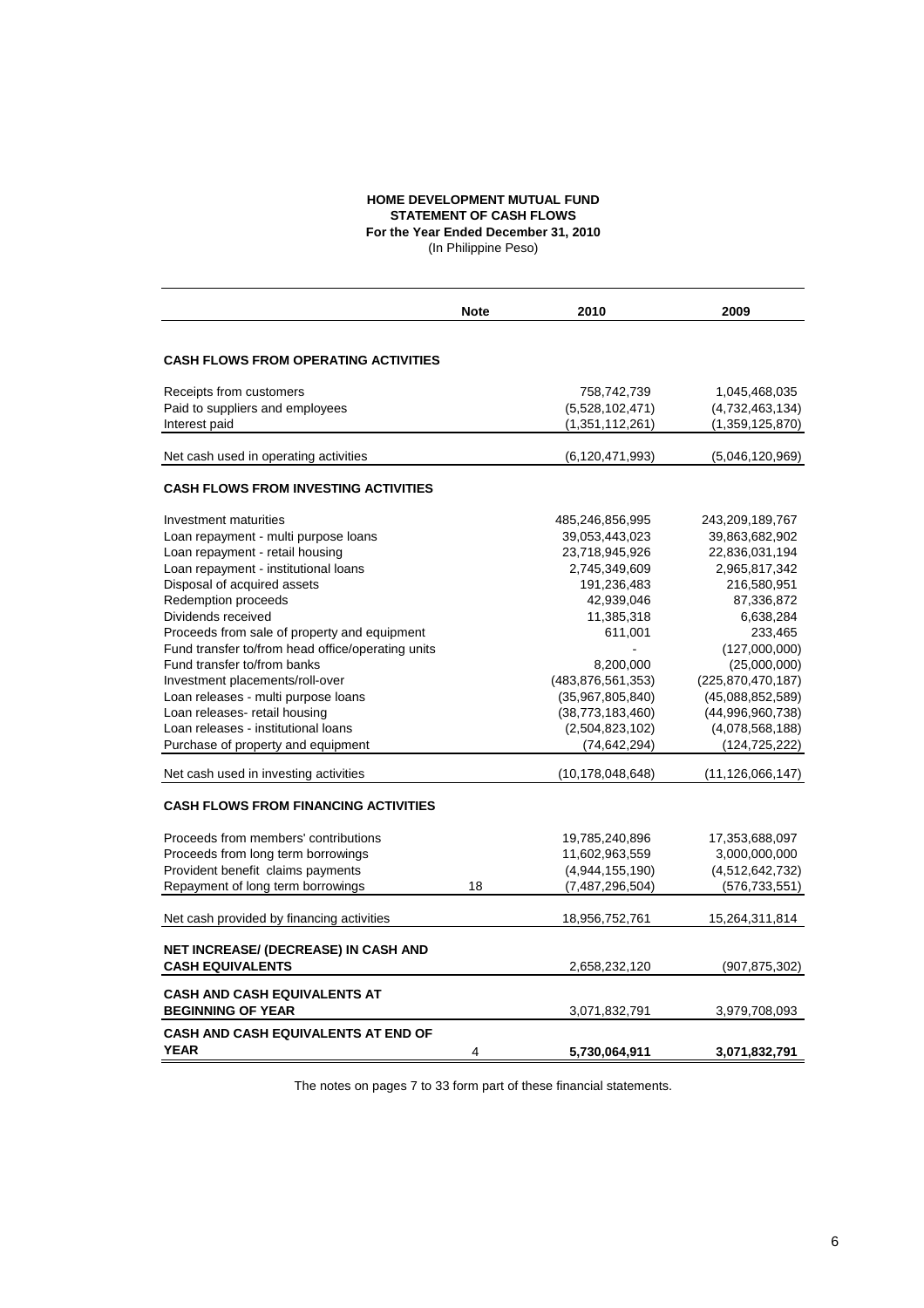#### **HOME DEVELOPMENT MUTUAL FUND STATEMENT OF CASH FLOWS For the Year Ended December 31, 2010**

(In Philippine Peso)

|                                                                            | <b>Note</b> | 2010                             | 2009                             |
|----------------------------------------------------------------------------|-------------|----------------------------------|----------------------------------|
|                                                                            |             |                                  |                                  |
| <b>CASH FLOWS FROM OPERATING ACTIVITIES</b>                                |             |                                  |                                  |
| Receipts from customers                                                    |             | 758,742,739                      | 1,045,468,035                    |
| Paid to suppliers and employees                                            |             | (5,528,102,471)                  | (4,732,463,134)                  |
| Interest paid                                                              |             | (1,351,112,261)                  | (1,359,125,870)                  |
| Net cash used in operating activities                                      |             | (6, 120, 471, 993)               | (5,046,120,969)                  |
| <b>CASH FLOWS FROM INVESTING ACTIVITIES</b>                                |             |                                  |                                  |
| Investment maturities                                                      |             | 485,246,856,995                  | 243,209,189,767                  |
| Loan repayment - multi purpose loans                                       |             | 39,053,443,023                   | 39,863,682,902                   |
| Loan repayment - retail housing                                            |             | 23,718,945,926                   | 22,836,031,194                   |
| Loan repayment - institutional loans                                       |             | 2,745,349,609                    | 2,965,817,342                    |
| Disposal of acquired assets                                                |             | 191,236,483                      | 216,580,951                      |
| Redemption proceeds                                                        |             | 42,939,046                       | 87,336,872                       |
| Dividends received                                                         |             | 11,385,318                       | 6,638,284                        |
| Proceeds from sale of property and equipment                               |             | 611,001                          | 233,465                          |
| Fund transfer to/from head office/operating units                          |             |                                  | (127,000,000)                    |
| Fund transfer to/from banks                                                |             | 8,200,000                        | (25,000,000)                     |
| Investment placements/roll-over                                            |             | (483, 876, 561, 353)             | (225, 870, 470, 187)             |
| Loan releases - multi purpose loans                                        |             | (35,967,805,840)                 | (45,088,852,589)                 |
| Loan releases- retail housing                                              |             | (38, 773, 183, 460)              | (44,996,960,738)                 |
| Loan releases - institutional loans                                        |             | (2,504,823,102)                  | (4,078,568,188)                  |
| Purchase of property and equipment                                         |             | (74, 642, 294)                   | (124, 725, 222)                  |
| Net cash used in investing activities                                      |             | (10,178,048,648)                 | (11, 126, 066, 147)              |
| <b>CASH FLOWS FROM FINANCING ACTIVITIES</b>                                |             |                                  |                                  |
|                                                                            |             |                                  |                                  |
| Proceeds from members' contributions<br>Proceeds from long term borrowings |             | 19,785,240,896<br>11,602,963,559 | 17,353,688,097                   |
| Provident benefit claims payments                                          |             | (4,944,155,190)                  | 3,000,000,000<br>(4,512,642,732) |
| Repayment of long term borrowings                                          | 18          | (7,487,296,504)                  | (576, 733, 551)                  |
|                                                                            |             |                                  |                                  |
| Net cash provided by financing activities                                  |             | 18,956,752,761                   | 15,264,311,814                   |
| <b>NET INCREASE/ (DECREASE) IN CASH AND</b>                                |             |                                  |                                  |
| <b>CASH EQUIVALENTS</b>                                                    |             | 2,658,232,120                    | (907, 875, 302)                  |
|                                                                            |             |                                  |                                  |
| <b>CASH AND CASH EQUIVALENTS AT</b><br><b>BEGINNING OF YEAR</b>            |             | 3,071,832,791                    | 3,979,708,093                    |
|                                                                            |             |                                  |                                  |
| <b>CASH AND CASH EQUIVALENTS AT END OF</b><br><b>YEAR</b>                  |             |                                  |                                  |
|                                                                            | 4           | 5,730,064,911                    | 3,071,832,791                    |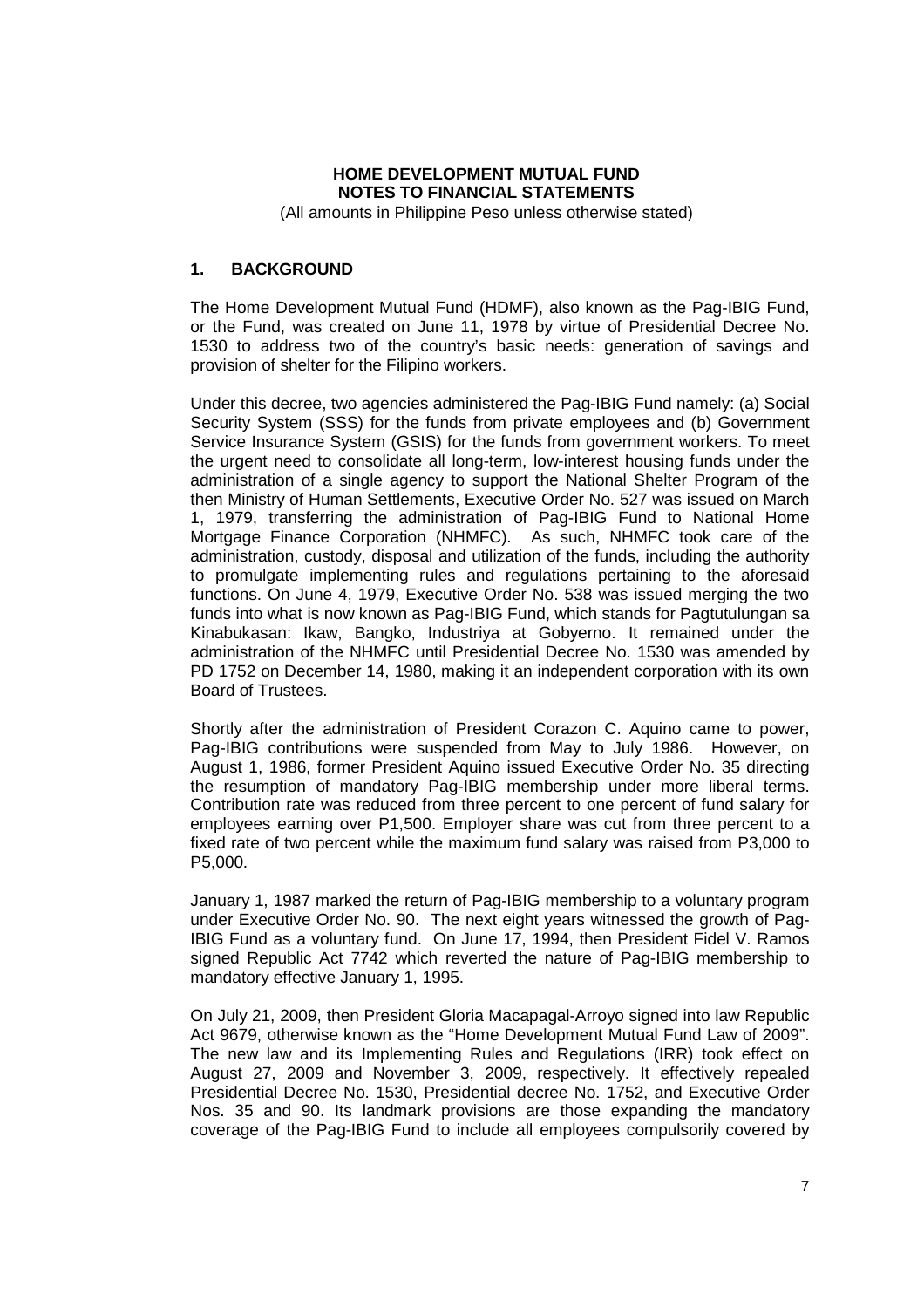## **HOME DEVELOPMENT MUTUAL FUND NOTES TO FINANCIAL STATEMENTS**

(All amounts in Philippine Peso unless otherwise stated)

## **1. BACKGROUND**

The Home Development Mutual Fund (HDMF), also known as the Pag-IBIG Fund, or the Fund, was created on June 11, 1978 by virtue of Presidential Decree No. 1530 to address two of the country's basic needs: generation of savings and provision of shelter for the Filipino workers.

Under this decree, two agencies administered the Pag-IBIG Fund namely: (a) Social Security System (SSS) for the funds from private employees and (b) Government Service Insurance System (GSIS) for the funds from government workers. To meet the urgent need to consolidate all long-term, low-interest housing funds under the administration of a single agency to support the National Shelter Program of the then Ministry of Human Settlements, Executive Order No. 527 was issued on March 1, 1979, transferring the administration of Pag-IBIG Fund to National Home Mortgage Finance Corporation (NHMFC). As such, NHMFC took care of the administration, custody, disposal and utilization of the funds, including the authority to promulgate implementing rules and regulations pertaining to the aforesaid functions. On June 4, 1979, Executive Order No. 538 was issued merging the two funds into what is now known as Pag-IBIG Fund, which stands for Pagtutulungan sa Kinabukasan: Ikaw, Bangko, Industriya at Gobyerno. It remained under the administration of the NHMFC until Presidential Decree No. 1530 was amended by PD 1752 on December 14, 1980, making it an independent corporation with its own Board of Trustees.

Shortly after the administration of President Corazon C. Aquino came to power, Pag-IBIG contributions were suspended from May to July 1986. However, on August 1, 1986, former President Aquino issued Executive Order No. 35 directing the resumption of mandatory Pag-IBIG membership under more liberal terms. Contribution rate was reduced from three percent to one percent of fund salary for employees earning over P1,500. Employer share was cut from three percent to a fixed rate of two percent while the maximum fund salary was raised from P3,000 to P5,000.

January 1, 1987 marked the return of Pag-IBIG membership to a voluntary program under Executive Order No. 90. The next eight years witnessed the growth of Pag-IBIG Fund as a voluntary fund. On June 17, 1994, then President Fidel V. Ramos signed Republic Act 7742 which reverted the nature of Pag-IBIG membership to mandatory effective January 1, 1995.

On July 21, 2009, then President Gloria Macapagal-Arroyo signed into law Republic Act 9679, otherwise known as the "Home Development Mutual Fund Law of 2009". The new law and its Implementing Rules and Regulations (IRR) took effect on August 27, 2009 and November 3, 2009, respectively. It effectively repealed Presidential Decree No. 1530, Presidential decree No. 1752, and Executive Order Nos. 35 and 90. Its landmark provisions are those expanding the mandatory coverage of the Pag-IBIG Fund to include all employees compulsorily covered by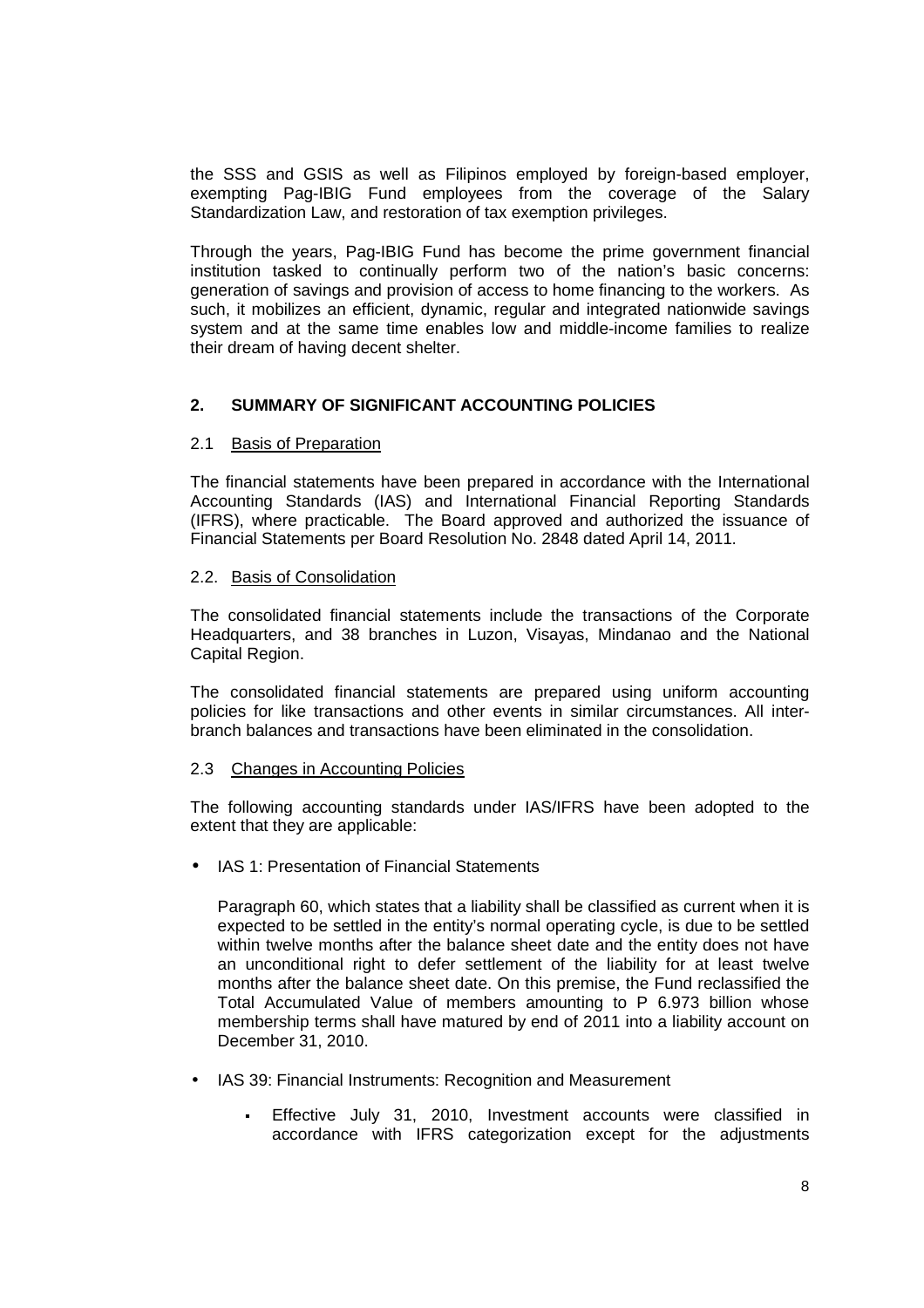the SSS and GSIS as well as Filipinos employed by foreign-based employer, exempting Pag-IBIG Fund employees from the coverage of the Salary Standardization Law, and restoration of tax exemption privileges.

Through the years, Pag-IBIG Fund has become the prime government financial institution tasked to continually perform two of the nation's basic concerns: generation of savings and provision of access to home financing to the workers. As such, it mobilizes an efficient, dynamic, regular and integrated nationwide savings system and at the same time enables low and middle-income families to realize their dream of having decent shelter.

## **2. SUMMARY OF SIGNIFICANT ACCOUNTING POLICIES**

### 2.1 Basis of Preparation

The financial statements have been prepared in accordance with the International Accounting Standards (IAS) and International Financial Reporting Standards (IFRS), where practicable. The Board approved and authorized the issuance of Financial Statements per Board Resolution No. 2848 dated April 14, 2011.

#### 2.2. Basis of Consolidation

The consolidated financial statements include the transactions of the Corporate Headquarters, and 38 branches in Luzon, Visayas, Mindanao and the National Capital Region.

The consolidated financial statements are prepared using uniform accounting policies for like transactions and other events in similar circumstances. All interbranch balances and transactions have been eliminated in the consolidation.

### 2.3 Changes in Accounting Policies

The following accounting standards under IAS/IFRS have been adopted to the extent that they are applicable:

• IAS 1: Presentation of Financial Statements

Paragraph 60, which states that a liability shall be classified as current when it is expected to be settled in the entity's normal operating cycle, is due to be settled within twelve months after the balance sheet date and the entity does not have an unconditional right to defer settlement of the liability for at least twelve months after the balance sheet date. On this premise, the Fund reclassified the Total Accumulated Value of members amounting to P 6.973 billion whose membership terms shall have matured by end of 2011 into a liability account on December 31, 2010.

- IAS 39: Financial Instruments: Recognition and Measurement
	- Effective July 31, 2010, Investment accounts were classified in accordance with IFRS categorization except for the adjustments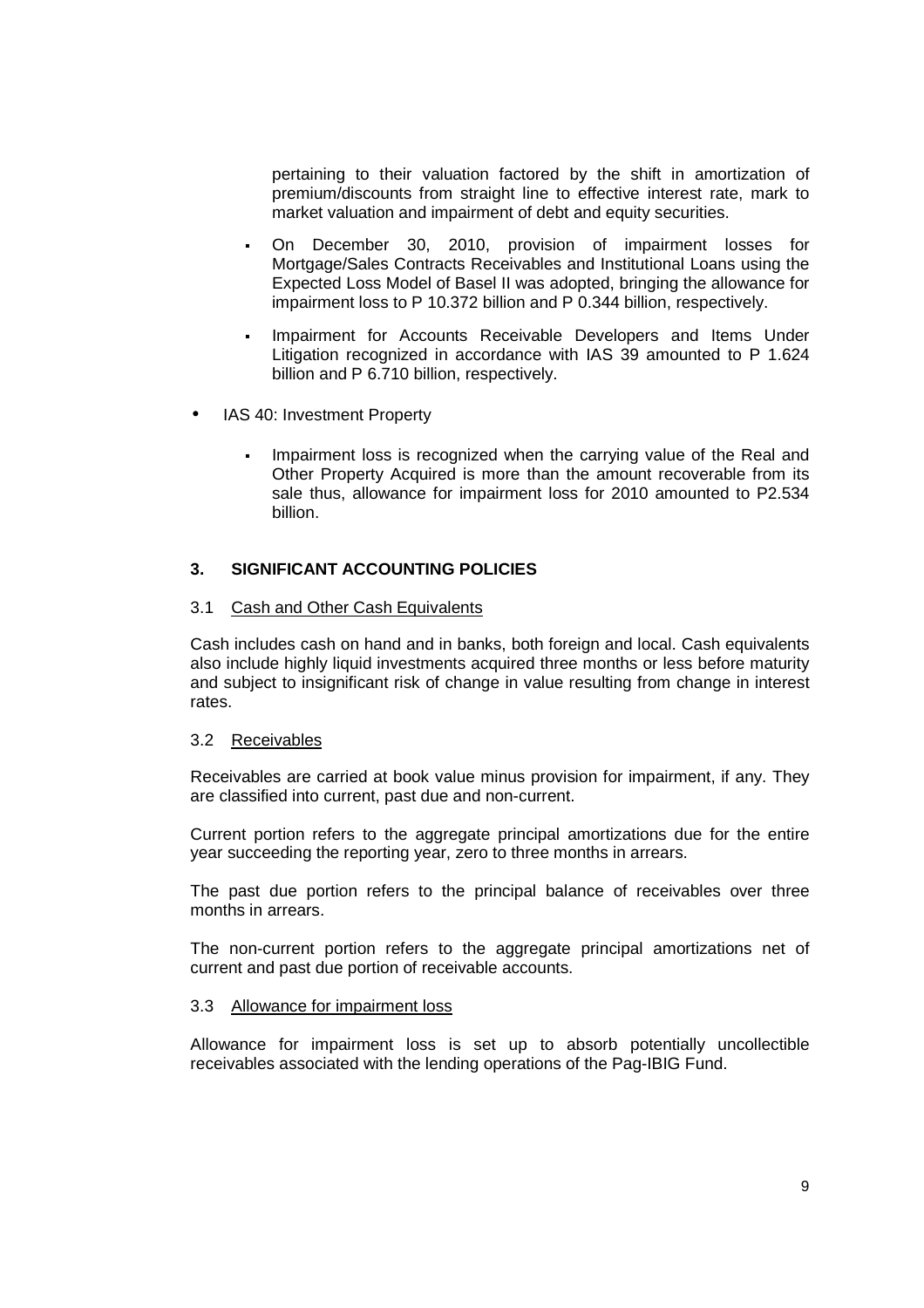pertaining to their valuation factored by the shift in amortization of premium/discounts from straight line to effective interest rate, mark to market valuation and impairment of debt and equity securities.

- On December 30, 2010, provision of impairment losses for Mortgage/Sales Contracts Receivables and Institutional Loans using the Expected Loss Model of Basel II was adopted, bringing the allowance for impairment loss to P 10.372 billion and P 0.344 billion, respectively.
- Impairment for Accounts Receivable Developers and Items Under Litigation recognized in accordance with IAS 39 amounted to P 1.624 billion and P 6.710 billion, respectively.
- IAS 40: Investment Property
	- Impairment loss is recognized when the carrying value of the Real and Other Property Acquired is more than the amount recoverable from its sale thus, allowance for impairment loss for 2010 amounted to P2.534 billion.

### **3. SIGNIFICANT ACCOUNTING POLICIES**

#### 3.1 Cash and Other Cash Equivalents

Cash includes cash on hand and in banks, both foreign and local. Cash equivalents also include highly liquid investments acquired three months or less before maturity and subject to insignificant risk of change in value resulting from change in interest rates.

#### 3.2 Receivables

Receivables are carried at book value minus provision for impairment, if any. They are classified into current, past due and non-current.

Current portion refers to the aggregate principal amortizations due for the entire year succeeding the reporting year, zero to three months in arrears.

The past due portion refers to the principal balance of receivables over three months in arrears.

The non-current portion refers to the aggregate principal amortizations net of current and past due portion of receivable accounts.

#### 3.3 Allowance for impairment loss

Allowance for impairment loss is set up to absorb potentially uncollectible receivables associated with the lending operations of the Pag-IBIG Fund.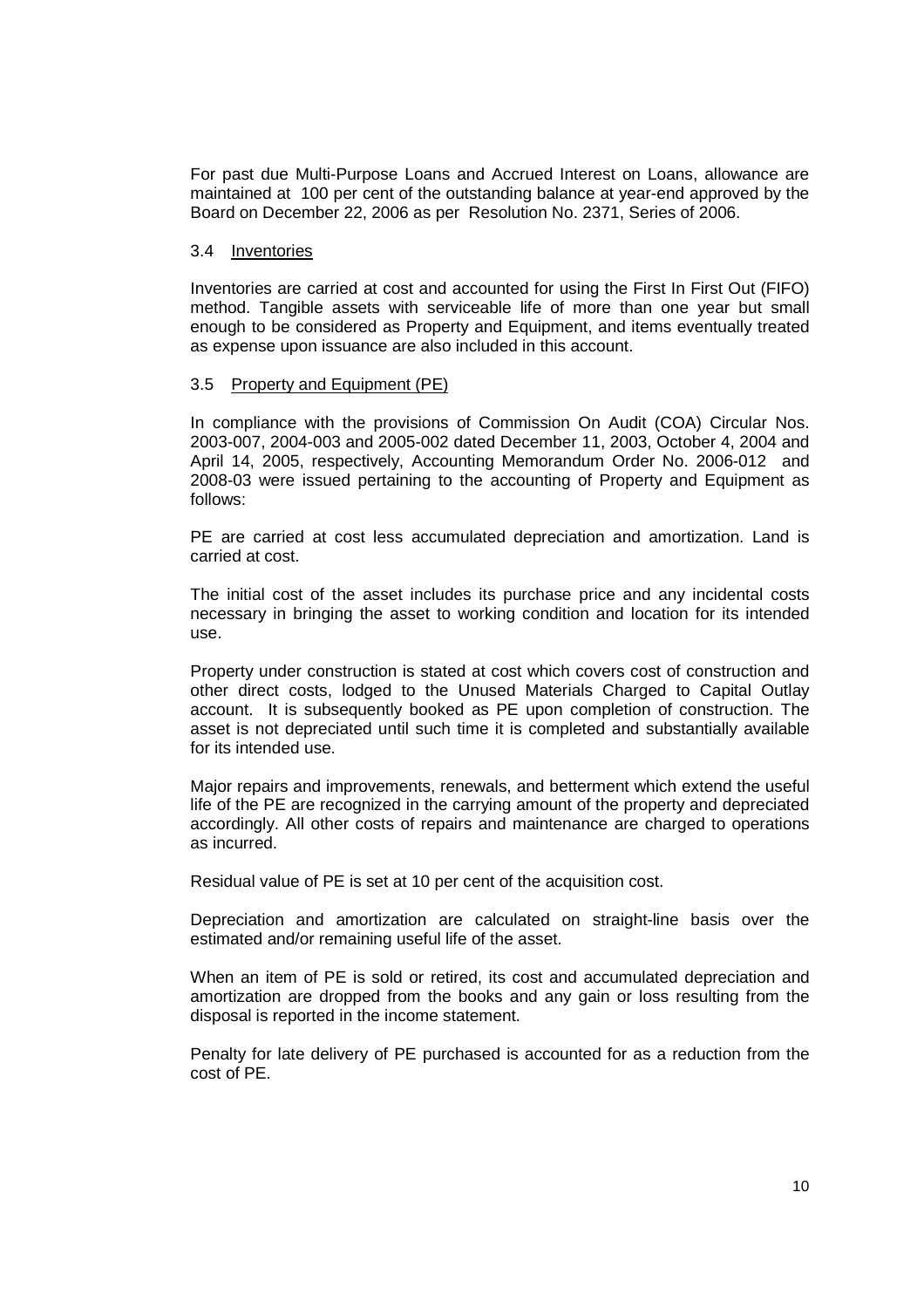For past due Multi-Purpose Loans and Accrued Interest on Loans, allowance are maintained at 100 per cent of the outstanding balance at year-end approved by the Board on December 22, 2006 as per Resolution No. 2371, Series of 2006.

#### 3.4 Inventories

Inventories are carried at cost and accounted for using the First In First Out (FIFO) method. Tangible assets with serviceable life of more than one year but small enough to be considered as Property and Equipment, and items eventually treated as expense upon issuance are also included in this account.

#### 3.5 Property and Equipment (PE)

In compliance with the provisions of Commission On Audit (COA) Circular Nos. 2003-007, 2004-003 and 2005-002 dated December 11, 2003, October 4, 2004 and April 14, 2005, respectively, Accounting Memorandum Order No. 2006-012 and 2008-03 were issued pertaining to the accounting of Property and Equipment as follows:

PE are carried at cost less accumulated depreciation and amortization. Land is carried at cost.

The initial cost of the asset includes its purchase price and any incidental costs necessary in bringing the asset to working condition and location for its intended use.

Property under construction is stated at cost which covers cost of construction and other direct costs, lodged to the Unused Materials Charged to Capital Outlay account. It is subsequently booked as PE upon completion of construction. The asset is not depreciated until such time it is completed and substantially available for its intended use.

Major repairs and improvements, renewals, and betterment which extend the useful life of the PE are recognized in the carrying amount of the property and depreciated accordingly. All other costs of repairs and maintenance are charged to operations as incurred.

Residual value of PE is set at 10 per cent of the acquisition cost.

Depreciation and amortization are calculated on straight-line basis over the estimated and/or remaining useful life of the asset.

When an item of PE is sold or retired, its cost and accumulated depreciation and amortization are dropped from the books and any gain or loss resulting from the disposal is reported in the income statement.

Penalty for late delivery of PE purchased is accounted for as a reduction from the cost of PE.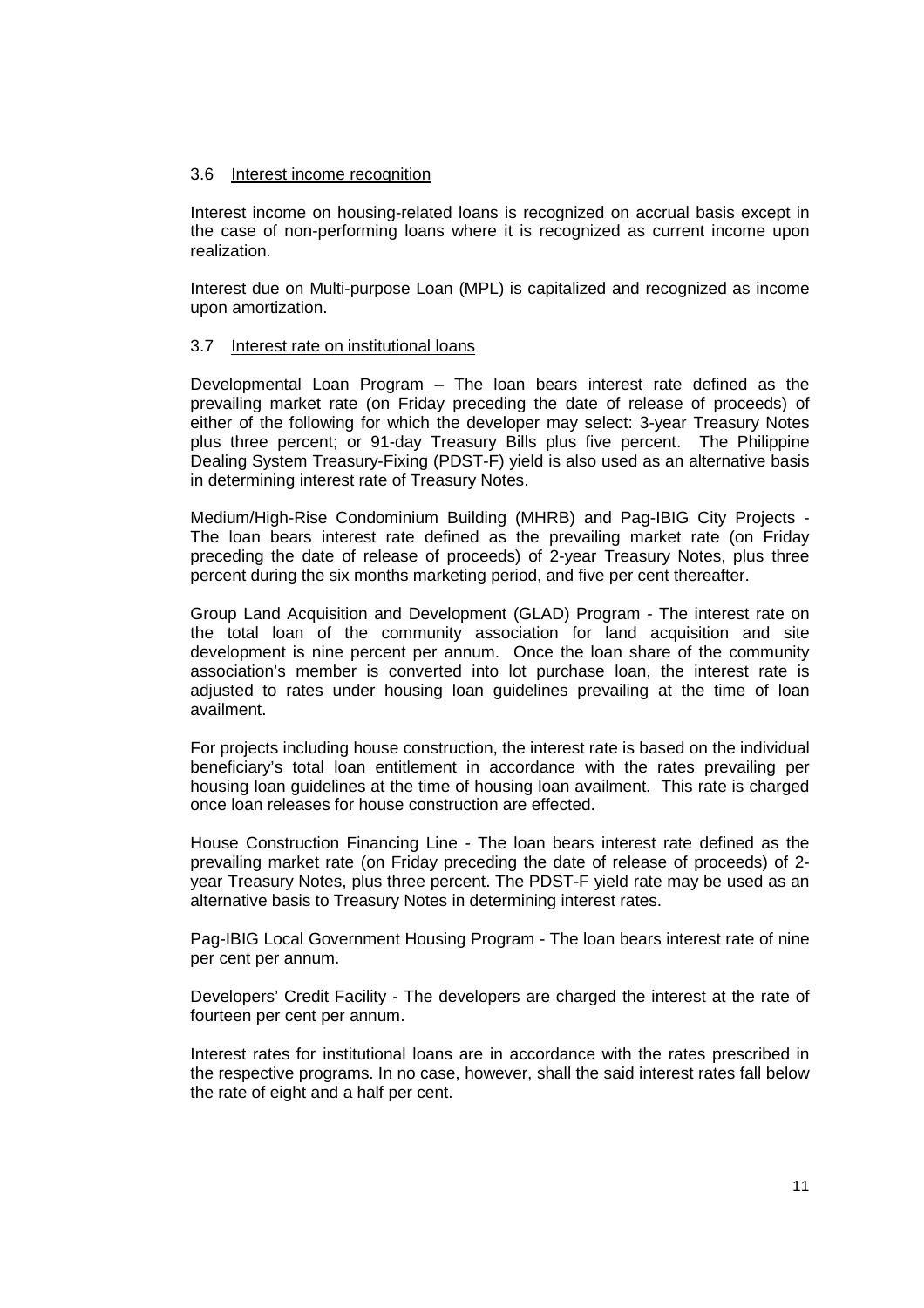### 3.6 Interest income recognition

Interest income on housing-related loans is recognized on accrual basis except in the case of non-performing loans where it is recognized as current income upon realization.

Interest due on Multi-purpose Loan (MPL) is capitalized and recognized as income upon amortization.

### 3.7 Interest rate on institutional loans

Developmental Loan Program – The loan bears interest rate defined as the prevailing market rate (on Friday preceding the date of release of proceeds) of either of the following for which the developer may select: 3-year Treasury Notes plus three percent; or 91-day Treasury Bills plus five percent. The Philippine Dealing System Treasury-Fixing (PDST-F) yield is also used as an alternative basis in determining interest rate of Treasury Notes.

Medium/High-Rise Condominium Building (MHRB) and Pag-IBIG City Projects - The loan bears interest rate defined as the prevailing market rate (on Friday preceding the date of release of proceeds) of 2-year Treasury Notes, plus three percent during the six months marketing period, and five per cent thereafter.

Group Land Acquisition and Development (GLAD) Program - The interest rate on the total loan of the community association for land acquisition and site development is nine percent per annum. Once the loan share of the community association's member is converted into lot purchase loan, the interest rate is adjusted to rates under housing loan guidelines prevailing at the time of loan availment.

For projects including house construction, the interest rate is based on the individual beneficiary's total loan entitlement in accordance with the rates prevailing per housing loan guidelines at the time of housing loan availment. This rate is charged once loan releases for house construction are effected.

House Construction Financing Line - The loan bears interest rate defined as the prevailing market rate (on Friday preceding the date of release of proceeds) of 2 year Treasury Notes, plus three percent. The PDST-F yield rate may be used as an alternative basis to Treasury Notes in determining interest rates.

Pag-IBIG Local Government Housing Program - The loan bears interest rate of nine per cent per annum.

Developers' Credit Facility - The developers are charged the interest at the rate of fourteen per cent per annum.

Interest rates for institutional loans are in accordance with the rates prescribed in the respective programs. In no case, however, shall the said interest rates fall below the rate of eight and a half per cent.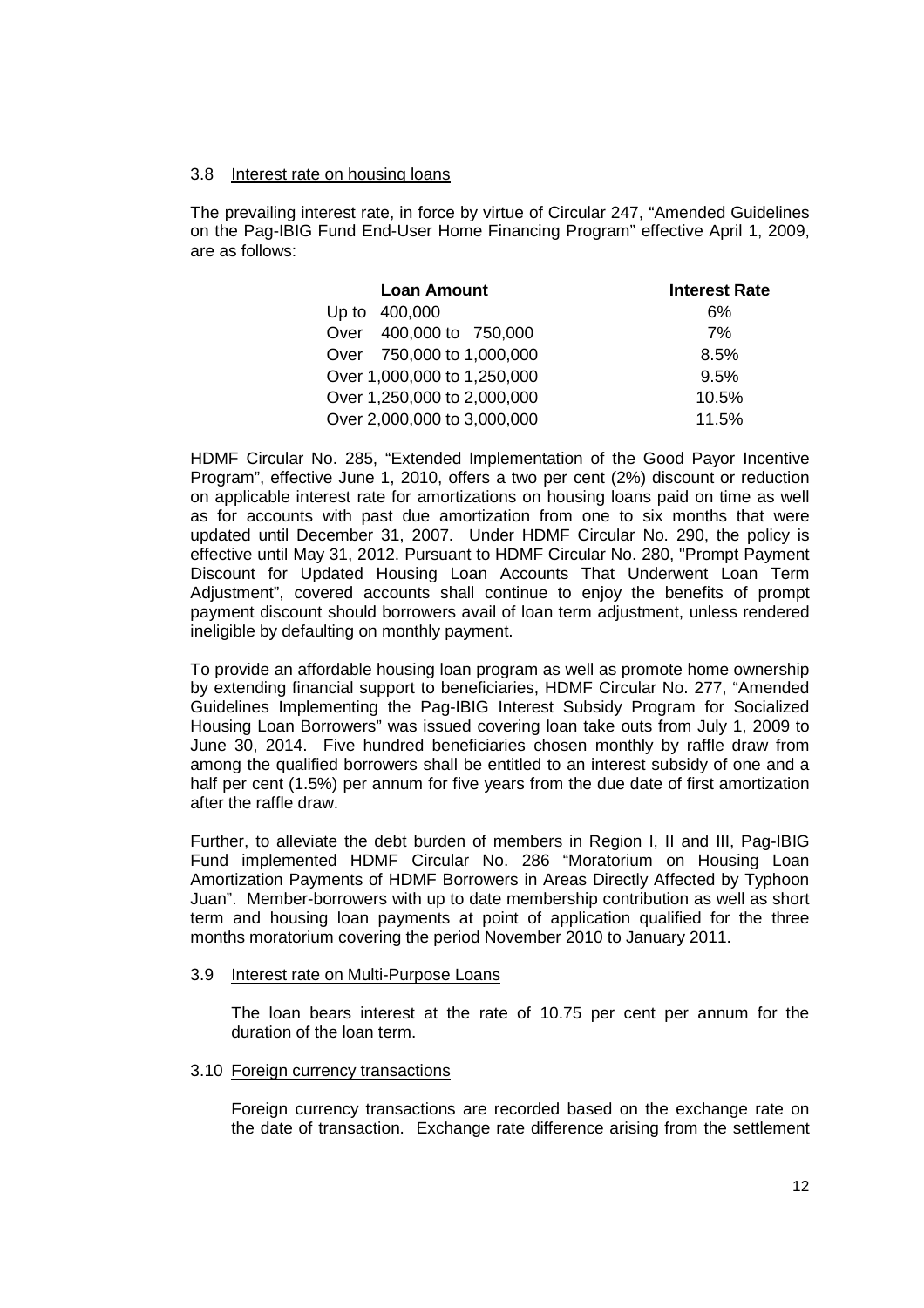### 3.8 Interest rate on housing loans

The prevailing interest rate, in force by virtue of Circular 247, "Amended Guidelines on the Pag-IBIG Fund End-User Home Financing Program" effective April 1, 2009, are as follows:

| <b>Loan Amount</b>          | <b>Interest Rate</b> |
|-----------------------------|----------------------|
| Up to 400,000               | 6%                   |
| Over 400,000 to 750,000     | 7%                   |
| Over 750,000 to 1,000,000   | 8.5%                 |
| Over 1,000,000 to 1,250,000 | 9.5%                 |
| Over 1,250,000 to 2,000,000 | 10.5%                |
| Over 2,000,000 to 3,000,000 | 11.5%                |

HDMF Circular No. 285, "Extended Implementation of the Good Payor Incentive Program", effective June 1, 2010, offers a two per cent (2%) discount or reduction on applicable interest rate for amortizations on housing loans paid on time as well as for accounts with past due amortization from one to six months that were updated until December 31, 2007. Under HDMF Circular No. 290, the policy is effective until May 31, 2012. Pursuant to HDMF Circular No. 280, "Prompt Payment Discount for Updated Housing Loan Accounts That Underwent Loan Term Adjustment", covered accounts shall continue to enjoy the benefits of prompt payment discount should borrowers avail of loan term adjustment, unless rendered ineligible by defaulting on monthly payment.

To provide an affordable housing loan program as well as promote home ownership by extending financial support to beneficiaries, HDMF Circular No. 277, "Amended Guidelines Implementing the Pag-IBIG Interest Subsidy Program for Socialized Housing Loan Borrowers" was issued covering loan take outs from July 1, 2009 to June 30, 2014. Five hundred beneficiaries chosen monthly by raffle draw from among the qualified borrowers shall be entitled to an interest subsidy of one and a half per cent (1.5%) per annum for five years from the due date of first amortization after the raffle draw.

Further, to alleviate the debt burden of members in Region I, II and III, Pag-IBIG Fund implemented HDMF Circular No. 286 "Moratorium on Housing Loan Amortization Payments of HDMF Borrowers in Areas Directly Affected by Typhoon Juan". Member-borrowers with up to date membership contribution as well as short term and housing loan payments at point of application qualified for the three months moratorium covering the period November 2010 to January 2011.

### 3.9 Interest rate on Multi-Purpose Loans

The loan bears interest at the rate of 10.75 per cent per annum for the duration of the loan term.

### 3.10 Foreign currency transactions

Foreign currency transactions are recorded based on the exchange rate on the date of transaction. Exchange rate difference arising from the settlement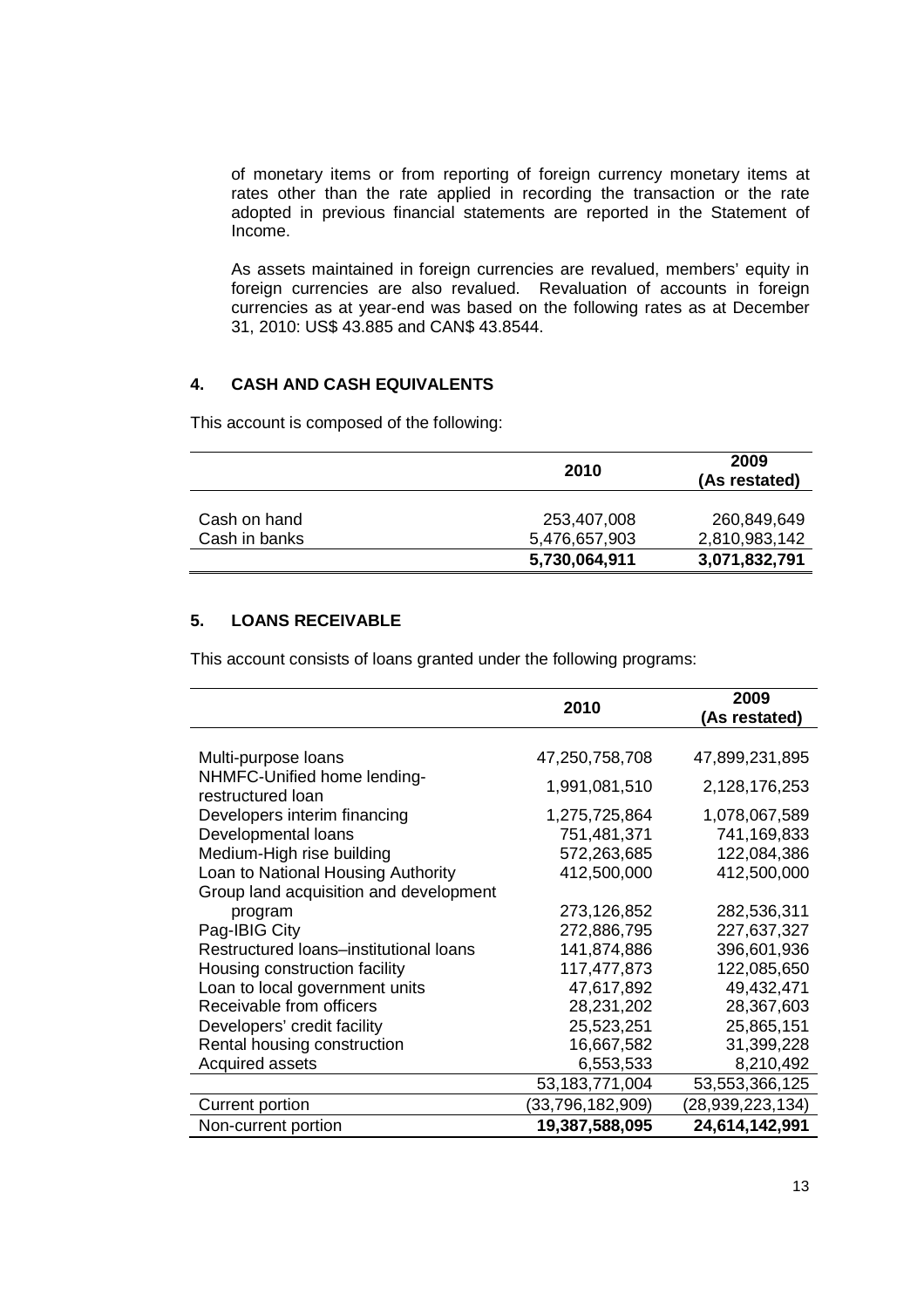of monetary items or from reporting of foreign currency monetary items at rates other than the rate applied in recording the transaction or the rate adopted in previous financial statements are reported in the Statement of Income.

As assets maintained in foreign currencies are revalued, members' equity in foreign currencies are also revalued. Revaluation of accounts in foreign currencies as at year-end was based on the following rates as at December 31, 2010: US\$ 43.885 and CAN\$ 43.8544.

## **4. CASH AND CASH EQUIVALENTS**

This account is composed of the following:

|               | 2010          | 2009<br>(As restated) |
|---------------|---------------|-----------------------|
| Cash on hand  | 253,407,008   | 260,849,649           |
| Cash in banks | 5,476,657,903 | 2,810,983,142         |
|               | 5,730,064,911 | 3,071,832,791         |

## **5. LOANS RECEIVABLE**

This account consists of loans granted under the following programs:

|                                                  | 2010                | 2009             |
|--------------------------------------------------|---------------------|------------------|
|                                                  |                     | (As restated)    |
|                                                  |                     |                  |
| Multi-purpose loans                              | 47,250,758,708      | 47,899,231,895   |
| NHMFC-Unified home lending-<br>restructured loan | 1,991,081,510       | 2,128,176,253    |
| Developers interim financing                     | 1,275,725,864       | 1,078,067,589    |
| Developmental loans                              | 751,481,371         | 741,169,833      |
| Medium-High rise building                        | 572,263,685         | 122,084,386      |
| Loan to National Housing Authority               | 412,500,000         | 412,500,000      |
| Group land acquisition and development           |                     |                  |
| program                                          | 273,126,852         | 282,536,311      |
| Pag-IBIG City                                    | 272,886,795         | 227,637,327      |
| Restructured Ioans-institutional Ioans           | 141,874,886         | 396,601,936      |
| Housing construction facility                    | 117,477,873         | 122,085,650      |
| Loan to local government units                   | 47,617,892          | 49,432,471       |
| Receivable from officers                         | 28,231,202          | 28,367,603       |
| Developers' credit facility                      | 25,523,251          | 25,865,151       |
| Rental housing construction                      | 16,667,582          | 31,399,228       |
| Acquired assets                                  | 6,553,533           | 8,210,492        |
|                                                  | 53, 183, 771, 004   | 53,553,366,125   |
| Current portion                                  | (33, 796, 182, 909) | (28,939,223,134) |
| Non-current portion                              | 19,387,588,095      | 24,614,142,991   |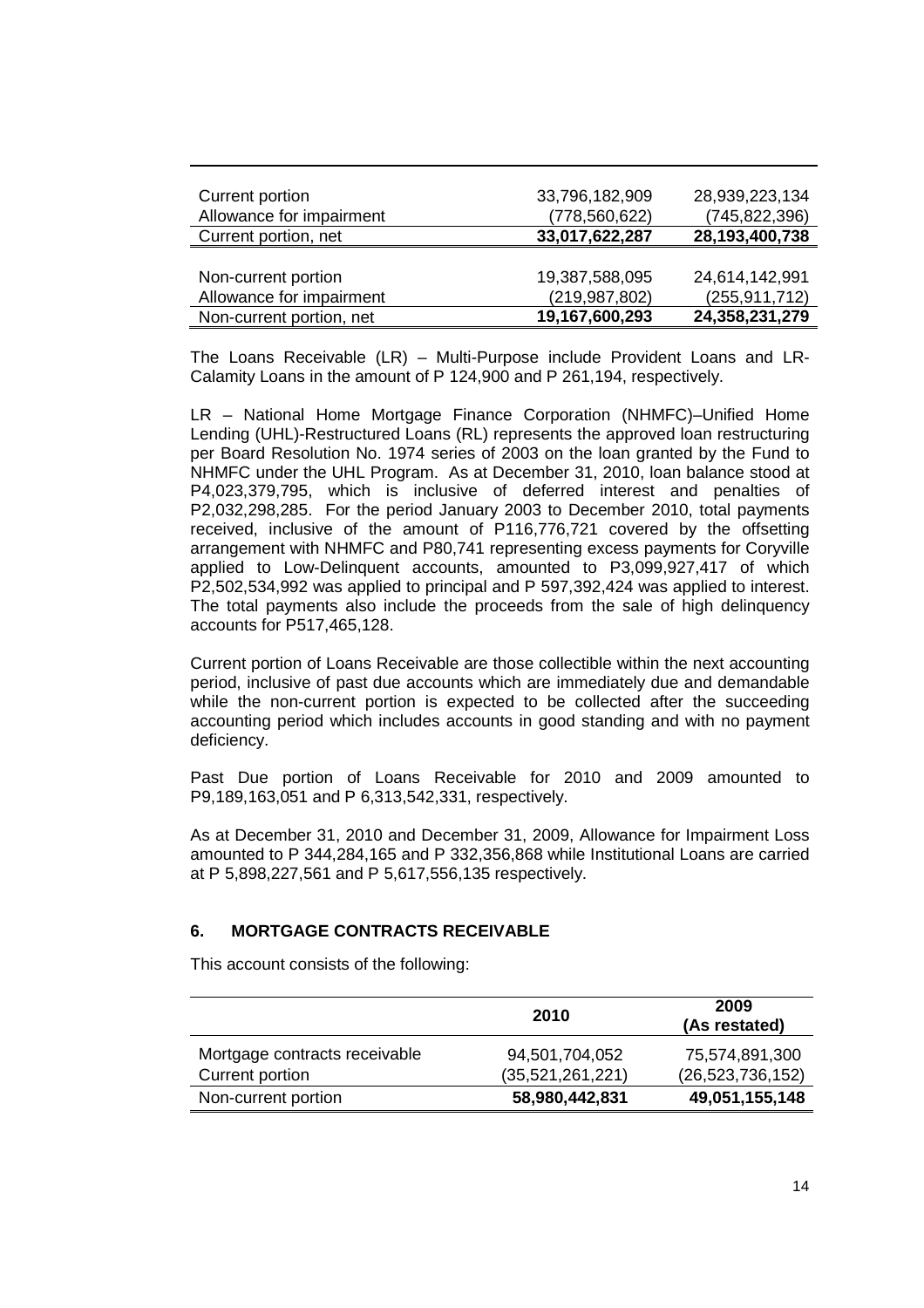| Current portion<br>Allowance for impairment | 33,796,182,909<br>(778, 560, 622) | 28,939,223,134<br>(745, 822, 396) |
|---------------------------------------------|-----------------------------------|-----------------------------------|
| Current portion, net                        | 33,017,622,287                    | 28,193,400,738                    |
|                                             |                                   |                                   |
| Non-current portion                         | 19,387,588,095                    | 24,614,142,991                    |
| Allowance for impairment                    | (219, 987, 802)                   | (255, 911, 712)                   |
| Non-current portion, net                    | 19,167,600,293                    | 24,358,231,279                    |

The Loans Receivable (LR) – Multi-Purpose include Provident Loans and LR-Calamity Loans in the amount of P 124,900 and P 261,194, respectively.

LR – National Home Mortgage Finance Corporation (NHMFC)–Unified Home Lending (UHL)-Restructured Loans (RL) represents the approved loan restructuring per Board Resolution No. 1974 series of 2003 on the loan granted by the Fund to NHMFC under the UHL Program. As at December 31, 2010, loan balance stood at P4,023,379,795, which is inclusive of deferred interest and penalties of P2,032,298,285. For the period January 2003 to December 2010, total payments received, inclusive of the amount of P116,776,721 covered by the offsetting arrangement with NHMFC and P80,741 representing excess payments for Coryville applied to Low-Delinquent accounts, amounted to P3,099,927,417 of which P2,502,534,992 was applied to principal and P 597,392,424 was applied to interest. The total payments also include the proceeds from the sale of high delinquency accounts for P517,465,128.

Current portion of Loans Receivable are those collectible within the next accounting period, inclusive of past due accounts which are immediately due and demandable while the non-current portion is expected to be collected after the succeeding accounting period which includes accounts in good standing and with no payment deficiency.

Past Due portion of Loans Receivable for 2010 and 2009 amounted to P9,189,163,051 and P 6,313,542,331, respectively.

As at December 31, 2010 and December 31, 2009, Allowance for Impairment Loss amounted to P 344,284,165 and P 332,356,868 while Institutional Loans are carried at P 5,898,227,561 and P 5,617,556,135 respectively.

### **6. MORTGAGE CONTRACTS RECEIVABLE**

This account consists of the following:

|                               | 2010                | 2009<br>(As restated) |
|-------------------------------|---------------------|-----------------------|
| Mortgage contracts receivable | 94,501,704,052      | 75,574,891,300        |
| Current portion               | (35, 521, 261, 221) | (26, 523, 736, 152)   |
| Non-current portion           | 58,980,442,831      | 49,051,155,148        |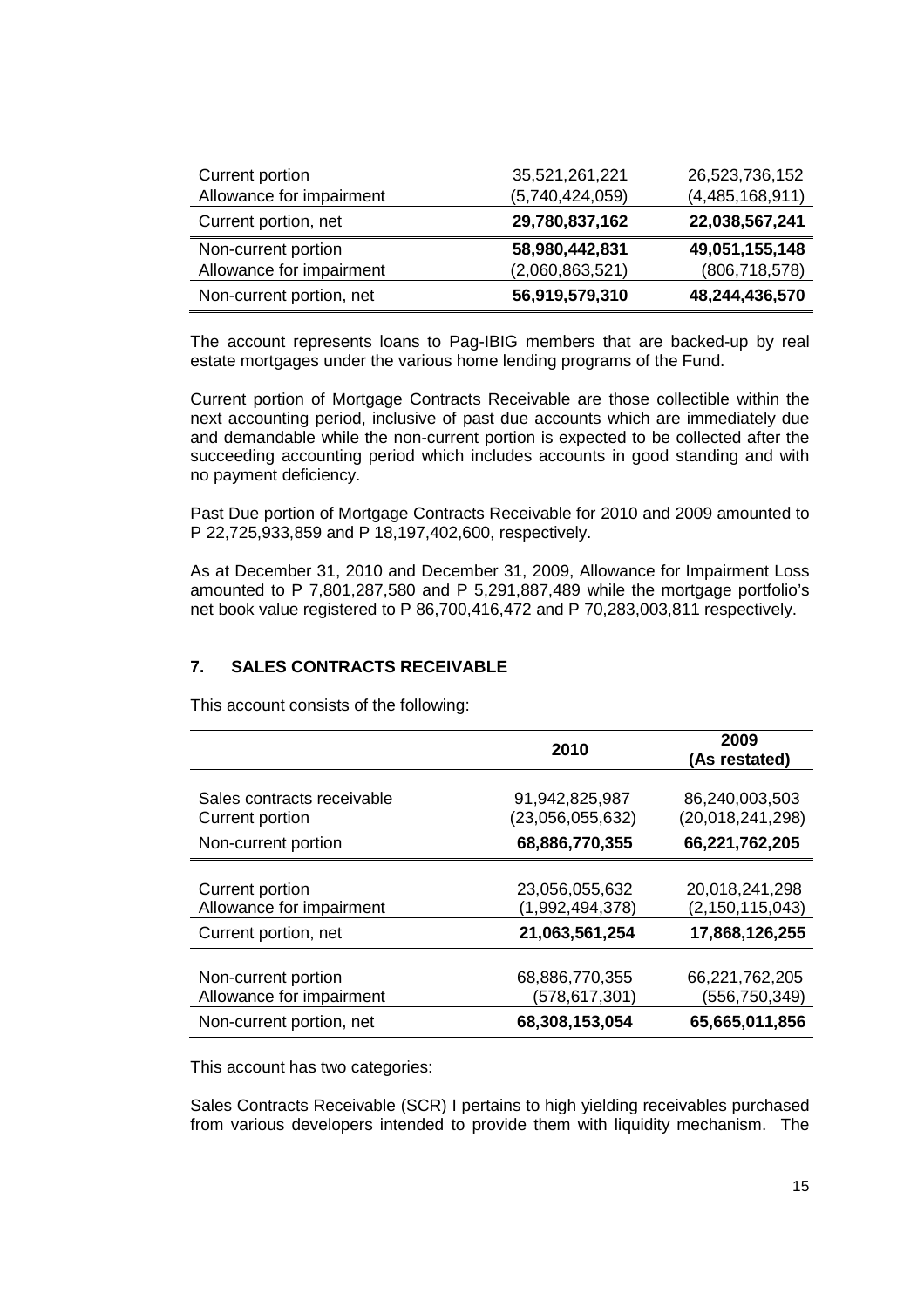| Current portion          | 35,521,261,221  | 26,523,736,152  |
|--------------------------|-----------------|-----------------|
| Allowance for impairment | (5,740,424,059) | (4,485,168,911) |
| Current portion, net     | 29,780,837,162  | 22,038,567,241  |
| Non-current portion      | 58,980,442,831  | 49,051,155,148  |
| Allowance for impairment | (2,060,863,521) | (806, 718, 578) |
| Non-current portion, net | 56,919,579,310  | 48,244,436,570  |

The account represents loans to Pag-IBIG members that are backed-up by real estate mortgages under the various home lending programs of the Fund.

Current portion of Mortgage Contracts Receivable are those collectible within the next accounting period, inclusive of past due accounts which are immediately due and demandable while the non-current portion is expected to be collected after the succeeding accounting period which includes accounts in good standing and with no payment deficiency.

Past Due portion of Mortgage Contracts Receivable for 2010 and 2009 amounted to P 22,725,933,859 and P 18,197,402,600, respectively.

As at December 31, 2010 and December 31, 2009, Allowance for Impairment Loss amounted to P 7,801,287,580 and P 5,291,887,489 while the mortgage portfolio's net book value registered to P 86,700,416,472 and P 70,283,003,811 respectively.

## **7. SALES CONTRACTS RECEIVABLE**

This account consists of the following:

|                            | 2010             | 2009<br>(As restated) |
|----------------------------|------------------|-----------------------|
| Sales contracts receivable | 91,942,825,987   | 86,240,003,503        |
| Current portion            | (23,056,055,632) | (20,018,241,298)      |
| Non-current portion        | 68,886,770,355   | 66,221,762,205        |
| Current portion            | 23,056,055,632   | 20,018,241,298        |
| Allowance for impairment   | (1,992,494,378)  | (2, 150, 115, 043)    |
| Current portion, net       | 21,063,561,254   | 17,868,126,255        |
| Non-current portion        | 68,886,770,355   | 66,221,762,205        |
| Allowance for impairment   | (578,617,301)    | (556,750,349)         |
| Non-current portion, net   | 68,308,153,054   | 65,665,011,856        |

This account has two categories:

Sales Contracts Receivable (SCR) I pertains to high yielding receivables purchased from various developers intended to provide them with liquidity mechanism. The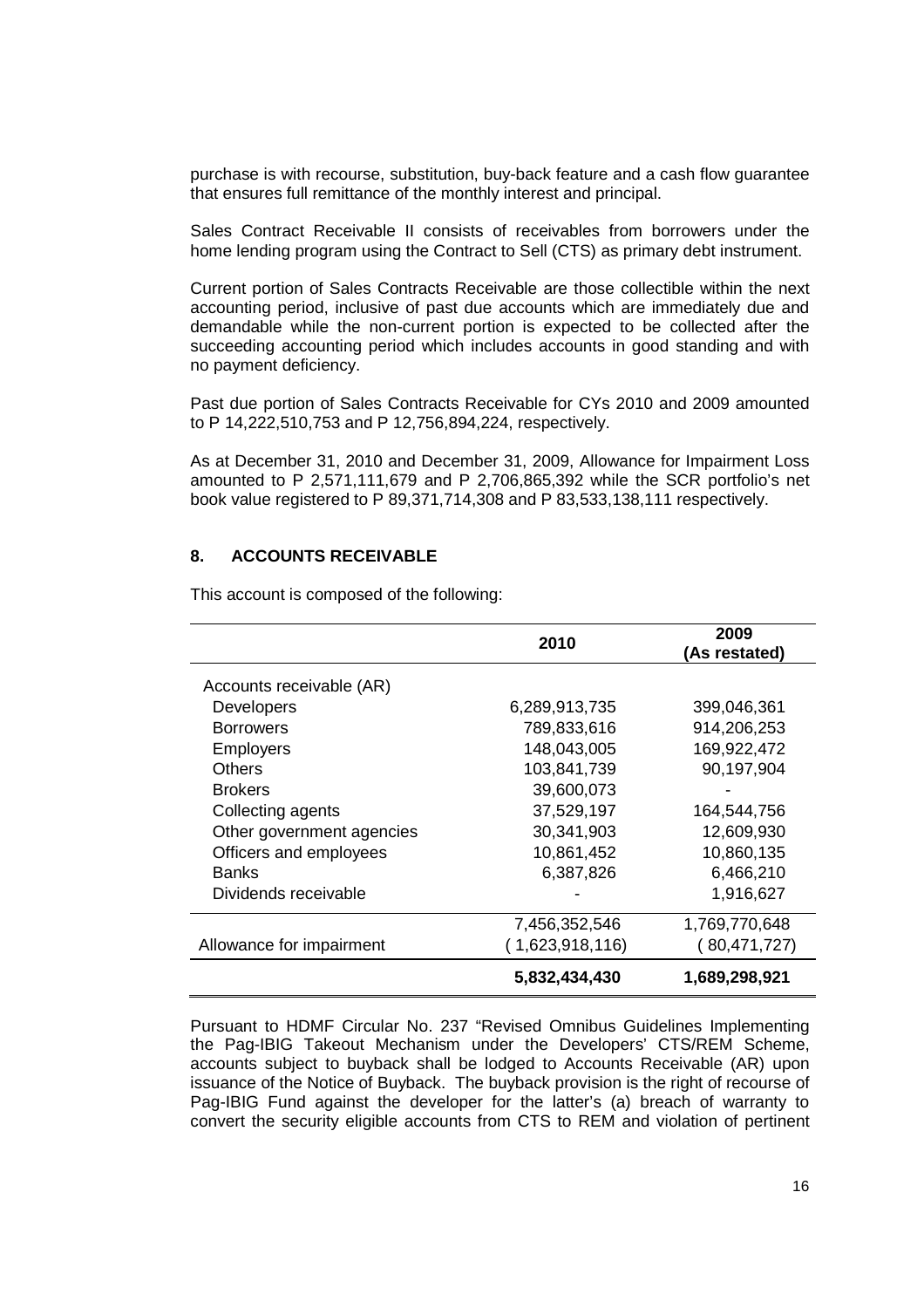purchase is with recourse, substitution, buy-back feature and a cash flow guarantee that ensures full remittance of the monthly interest and principal.

Sales Contract Receivable II consists of receivables from borrowers under the home lending program using the Contract to Sell (CTS) as primary debt instrument.

Current portion of Sales Contracts Receivable are those collectible within the next accounting period, inclusive of past due accounts which are immediately due and demandable while the non-current portion is expected to be collected after the succeeding accounting period which includes accounts in good standing and with no payment deficiency.

Past due portion of Sales Contracts Receivable for CYs 2010 and 2009 amounted to P 14,222,510,753 and P 12,756,894,224, respectively.

As at December 31, 2010 and December 31, 2009, Allowance for Impairment Loss amounted to P 2,571,111,679 and P 2,706,865,392 while the SCR portfolio's net book value registered to P 89,371,714,308 and P 83,533,138,111 respectively.

### **8. ACCOUNTS RECEIVABLE**

|                           | 2010            | 2009<br>(As restated) |
|---------------------------|-----------------|-----------------------|
| Accounts receivable (AR)  |                 |                       |
| <b>Developers</b>         | 6,289,913,735   | 399,046,361           |
| <b>Borrowers</b>          | 789,833,616     | 914,206,253           |
| <b>Employers</b>          | 148,043,005     | 169,922,472           |
| <b>Others</b>             | 103,841,739     | 90,197,904            |
| <b>Brokers</b>            | 39,600,073      |                       |
| Collecting agents         | 37,529,197      | 164,544,756           |
| Other government agencies | 30,341,903      | 12,609,930            |
| Officers and employees    | 10,861,452      | 10,860,135            |
| <b>Banks</b>              | 6,387,826       | 6,466,210             |
| Dividends receivable      |                 | 1,916,627             |
|                           | 7,456,352,546   | 1,769,770,648         |
| Allowance for impairment  | (1,623,918,116) | (80, 471, 727)        |
|                           | 5,832,434,430   | 1,689,298,921         |

This account is composed of the following:

Pursuant to HDMF Circular No. 237 "Revised Omnibus Guidelines Implementing the Pag-IBIG Takeout Mechanism under the Developers' CTS/REM Scheme, accounts subject to buyback shall be lodged to Accounts Receivable (AR) upon issuance of the Notice of Buyback. The buyback provision is the right of recourse of Pag-IBIG Fund against the developer for the latter's (a) breach of warranty to convert the security eligible accounts from CTS to REM and violation of pertinent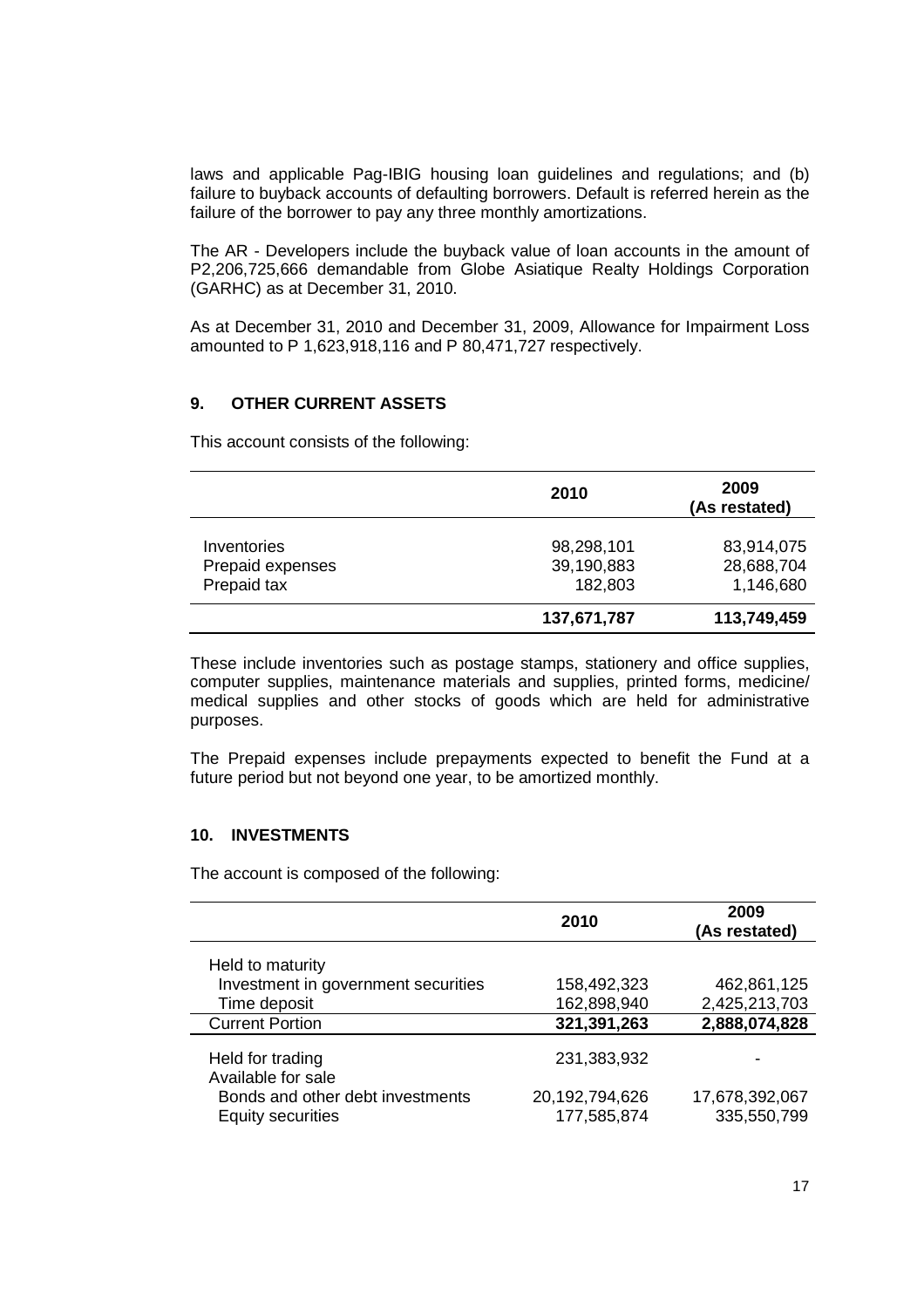laws and applicable Pag-IBIG housing loan guidelines and regulations; and (b) failure to buyback accounts of defaulting borrowers. Default is referred herein as the failure of the borrower to pay any three monthly amortizations.

The AR - Developers include the buyback value of loan accounts in the amount of P2,206,725,666 demandable from Globe Asiatique Realty Holdings Corporation (GARHC) as at December 31, 2010.

As at December 31, 2010 and December 31, 2009, Allowance for Impairment Loss amounted to P 1,623,918,116 and P 80,471,727 respectively.

## **9. OTHER CURRENT ASSETS**

This account consists of the following:

|                  | 2010        | 2009<br>(As restated) |
|------------------|-------------|-----------------------|
| Inventories      | 98,298,101  | 83,914,075            |
| Prepaid expenses | 39,190,883  | 28,688,704            |
| Prepaid tax      | 182,803     | 1,146,680             |
|                  | 137,671,787 | 113,749,459           |

These include inventories such as postage stamps, stationery and office supplies, computer supplies, maintenance materials and supplies, printed forms, medicine/ medical supplies and other stocks of goods which are held for administrative purposes.

The Prepaid expenses include prepayments expected to benefit the Fund at a future period but not beyond one year, to be amortized monthly.

## **10. INVESTMENTS**

The account is composed of the following:

|                                                              | 2010                          | 2009<br>(As restated)         |
|--------------------------------------------------------------|-------------------------------|-------------------------------|
| Held to maturity                                             |                               |                               |
| Investment in government securities                          | 158,492,323                   | 462,861,125                   |
| Time deposit                                                 | 162,898,940                   | 2,425,213,703                 |
| <b>Current Portion</b>                                       | 321,391,263                   | 2,888,074,828                 |
| Held for trading<br>Available for sale                       | 231,383,932                   |                               |
| Bonds and other debt investments<br><b>Equity securities</b> | 20,192,794,626<br>177,585,874 | 17,678,392,067<br>335,550,799 |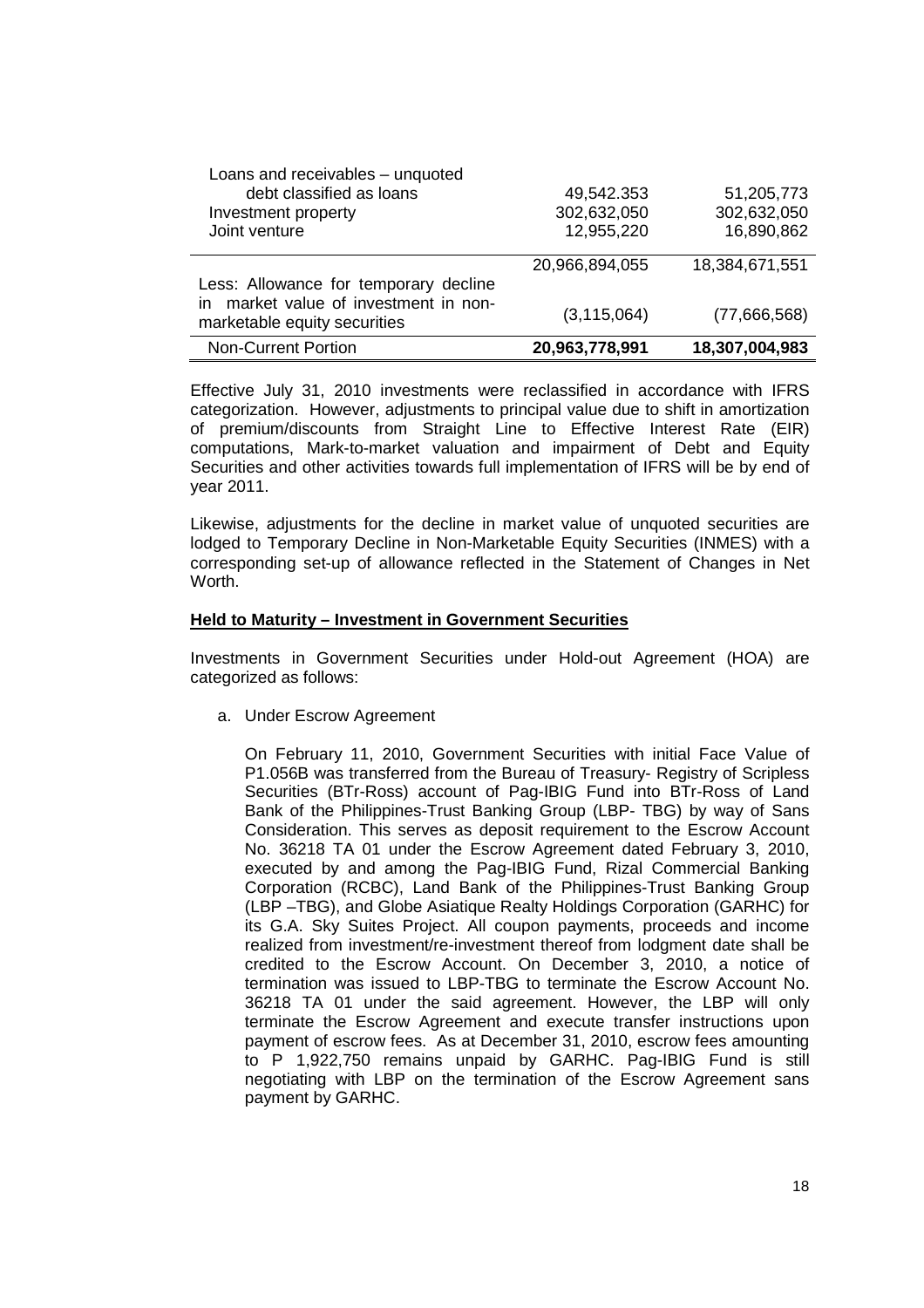| <b>Non-Current Portion</b>                                                                                     | 20,963,778,991 | 18,307,004,983 |
|----------------------------------------------------------------------------------------------------------------|----------------|----------------|
| Less: Allowance for temporary decline<br>in market value of investment in non-<br>marketable equity securities | (3, 115, 064)  | (77,666,568)   |
|                                                                                                                | 20,966,894,055 | 18,384,671,551 |
| Joint venture                                                                                                  | 12,955,220     | 16,890,862     |
| Investment property                                                                                            | 302,632,050    | 302,632,050    |
| debt classified as loans                                                                                       | 49,542.353     | 51,205,773     |
| Loans and receivables - unquoted                                                                               |                |                |

Effective July 31, 2010 investments were reclassified in accordance with IFRS categorization. However, adjustments to principal value due to shift in amortization of premium/discounts from Straight Line to Effective Interest Rate (EIR) computations, Mark-to-market valuation and impairment of Debt and Equity Securities and other activities towards full implementation of IFRS will be by end of year 2011.

Likewise, adjustments for the decline in market value of unquoted securities are lodged to Temporary Decline in Non-Marketable Equity Securities (INMES) with a corresponding set-up of allowance reflected in the Statement of Changes in Net Worth.

#### **Held to Maturity – Investment in Government Securities**

Investments in Government Securities under Hold-out Agreement (HOA) are categorized as follows:

a. Under Escrow Agreement

On February 11, 2010, Government Securities with initial Face Value of P1.056B was transferred from the Bureau of Treasury- Registry of Scripless Securities (BTr-Ross) account of Pag-IBIG Fund into BTr-Ross of Land Bank of the Philippines-Trust Banking Group (LBP- TBG) by way of Sans Consideration. This serves as deposit requirement to the Escrow Account No. 36218 TA 01 under the Escrow Agreement dated February 3, 2010, executed by and among the Pag-IBIG Fund, Rizal Commercial Banking Corporation (RCBC), Land Bank of the Philippines-Trust Banking Group (LBP –TBG), and Globe Asiatique Realty Holdings Corporation (GARHC) for its G.A. Sky Suites Project. All coupon payments, proceeds and income realized from investment/re-investment thereof from lodgment date shall be credited to the Escrow Account. On December 3, 2010, a notice of termination was issued to LBP-TBG to terminate the Escrow Account No. 36218 TA 01 under the said agreement. However, the LBP will only terminate the Escrow Agreement and execute transfer instructions upon payment of escrow fees. As at December 31, 2010, escrow fees amounting to P 1,922,750 remains unpaid by GARHC. Pag-IBIG Fund is still negotiating with LBP on the termination of the Escrow Agreement sans payment by GARHC.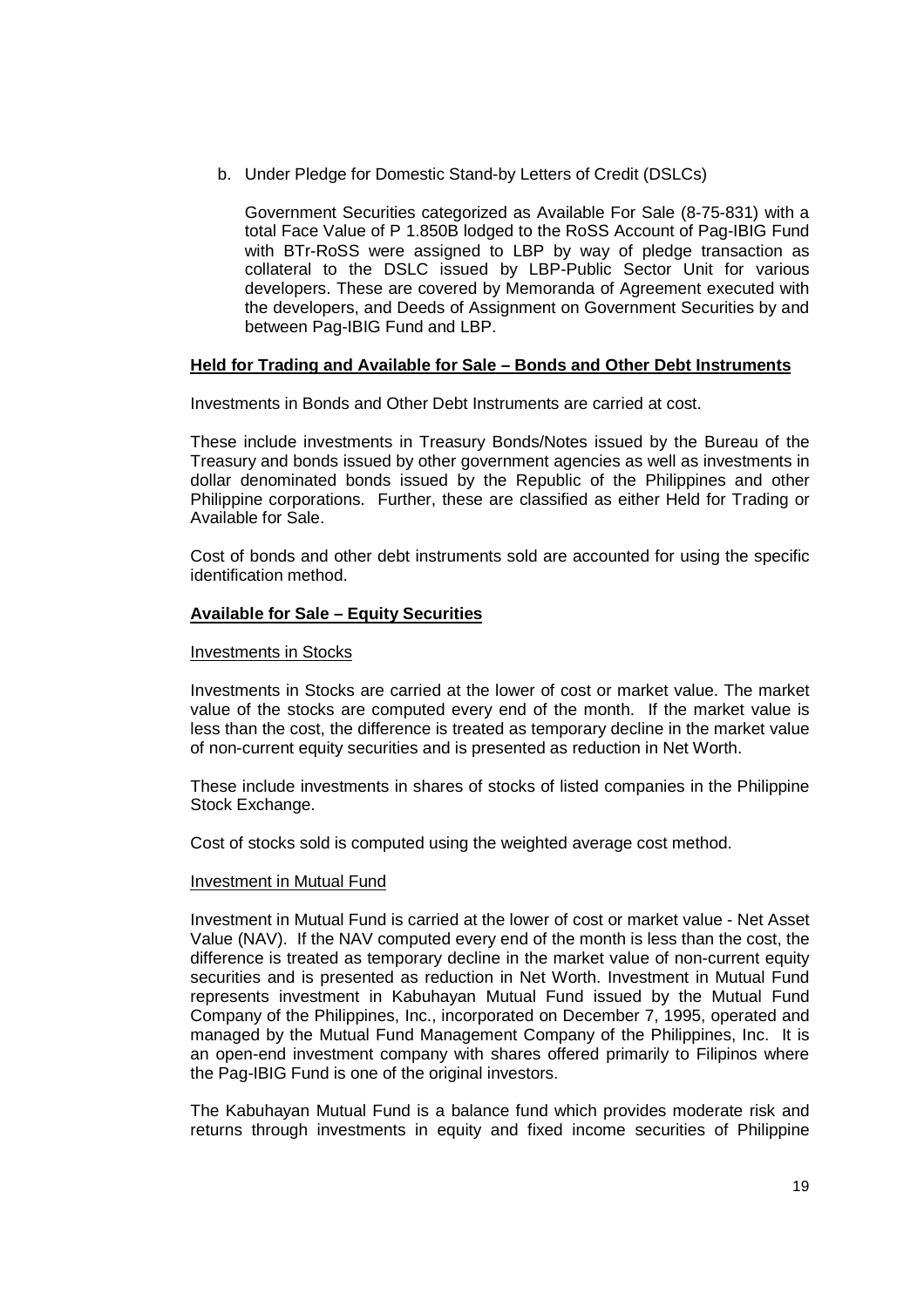b. Under Pledge for Domestic Stand-by Letters of Credit (DSLCs)

Government Securities categorized as Available For Sale (8-75-831) with a total Face Value of P 1.850B lodged to the RoSS Account of Pag-IBIG Fund with BTr-RoSS were assigned to LBP by way of pledge transaction as collateral to the DSLC issued by LBP-Public Sector Unit for various developers. These are covered by Memoranda of Agreement executed with the developers, and Deeds of Assignment on Government Securities by and between Pag-IBIG Fund and LBP.

### **Held for Trading and Available for Sale – Bonds and Other Debt Instruments**

Investments in Bonds and Other Debt Instruments are carried at cost.

These include investments in Treasury Bonds/Notes issued by the Bureau of the Treasury and bonds issued by other government agencies as well as investments in dollar denominated bonds issued by the Republic of the Philippines and other Philippine corporations. Further, these are classified as either Held for Trading or Available for Sale.

Cost of bonds and other debt instruments sold are accounted for using the specific identification method.

### **Available for Sale – Equity Securities**

#### Investments in Stocks

Investments in Stocks are carried at the lower of cost or market value. The market value of the stocks are computed every end of the month. If the market value is less than the cost, the difference is treated as temporary decline in the market value of non-current equity securities and is presented as reduction in Net Worth.

These include investments in shares of stocks of listed companies in the Philippine Stock Exchange.

Cost of stocks sold is computed using the weighted average cost method.

### Investment in Mutual Fund

Investment in Mutual Fund is carried at the lower of cost or market value - Net Asset Value (NAV). If the NAV computed every end of the month is less than the cost, the difference is treated as temporary decline in the market value of non-current equity securities and is presented as reduction in Net Worth. Investment in Mutual Fund represents investment in Kabuhayan Mutual Fund issued by the Mutual Fund Company of the Philippines, Inc., incorporated on December 7, 1995, operated and managed by the Mutual Fund Management Company of the Philippines, Inc. It is an open-end investment company with shares offered primarily to Filipinos where the Pag-IBIG Fund is one of the original investors.

The Kabuhayan Mutual Fund is a balance fund which provides moderate risk and returns through investments in equity and fixed income securities of Philippine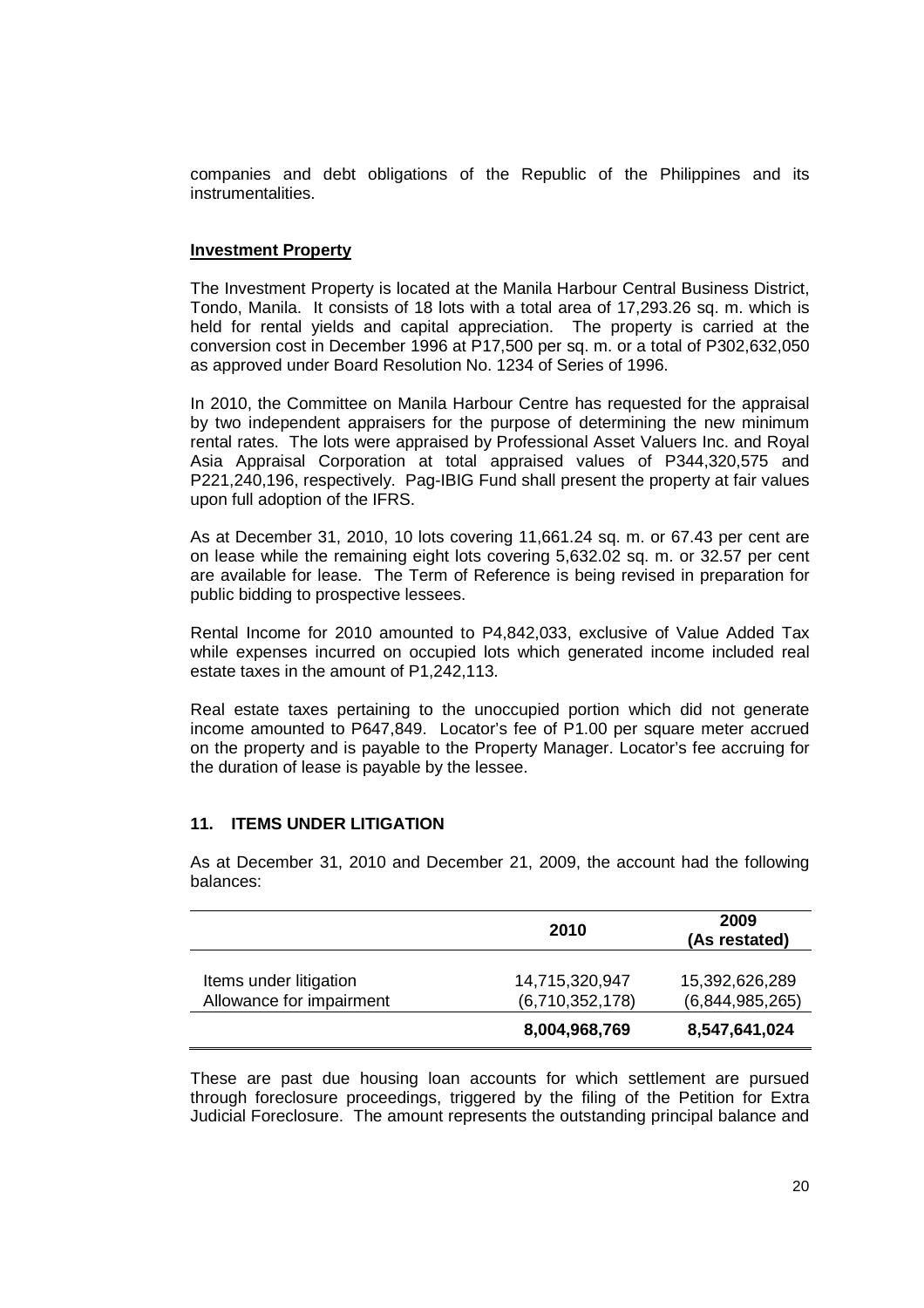companies and debt obligations of the Republic of the Philippines and its instrumentalities.

### **Investment Property**

The Investment Property is located at the Manila Harbour Central Business District, Tondo, Manila. It consists of 18 lots with a total area of 17,293.26 sq. m. which is held for rental yields and capital appreciation. The property is carried at the conversion cost in December 1996 at P17,500 per sq. m. or a total of P302,632,050 as approved under Board Resolution No. 1234 of Series of 1996.

In 2010, the Committee on Manila Harbour Centre has requested for the appraisal by two independent appraisers for the purpose of determining the new minimum rental rates. The lots were appraised by Professional Asset Valuers Inc. and Royal Asia Appraisal Corporation at total appraised values of P344,320,575 and P221,240,196, respectively. Pag-IBIG Fund shall present the property at fair values upon full adoption of the IFRS.

As at December 31, 2010, 10 lots covering 11,661.24 sq. m. or 67.43 per cent are on lease while the remaining eight lots covering 5,632.02 sq. m. or 32.57 per cent are available for lease. The Term of Reference is being revised in preparation for public bidding to prospective lessees.

Rental Income for 2010 amounted to P4,842,033, exclusive of Value Added Tax while expenses incurred on occupied lots which generated income included real estate taxes in the amount of P1,242,113.

Real estate taxes pertaining to the unoccupied portion which did not generate income amounted to P647,849. Locator's fee of P1.00 per square meter accrued on the property and is payable to the Property Manager. Locator's fee accruing for the duration of lease is payable by the lessee.

### **11. ITEMS UNDER LITIGATION**

As at December 31, 2010 and December 21, 2009, the account had the following balances:

|                          | 2010                             | 2009<br>(As restated)            |
|--------------------------|----------------------------------|----------------------------------|
| Items under litigation   | 14,715,320,947                   | 15,392,626,289                   |
| Allowance for impairment | (6,710,352,178)<br>8,004,968,769 | (6,844,985,265)<br>8,547,641,024 |

These are past due housing loan accounts for which settlement are pursued through foreclosure proceedings, triggered by the filing of the Petition for Extra Judicial Foreclosure. The amount represents the outstanding principal balance and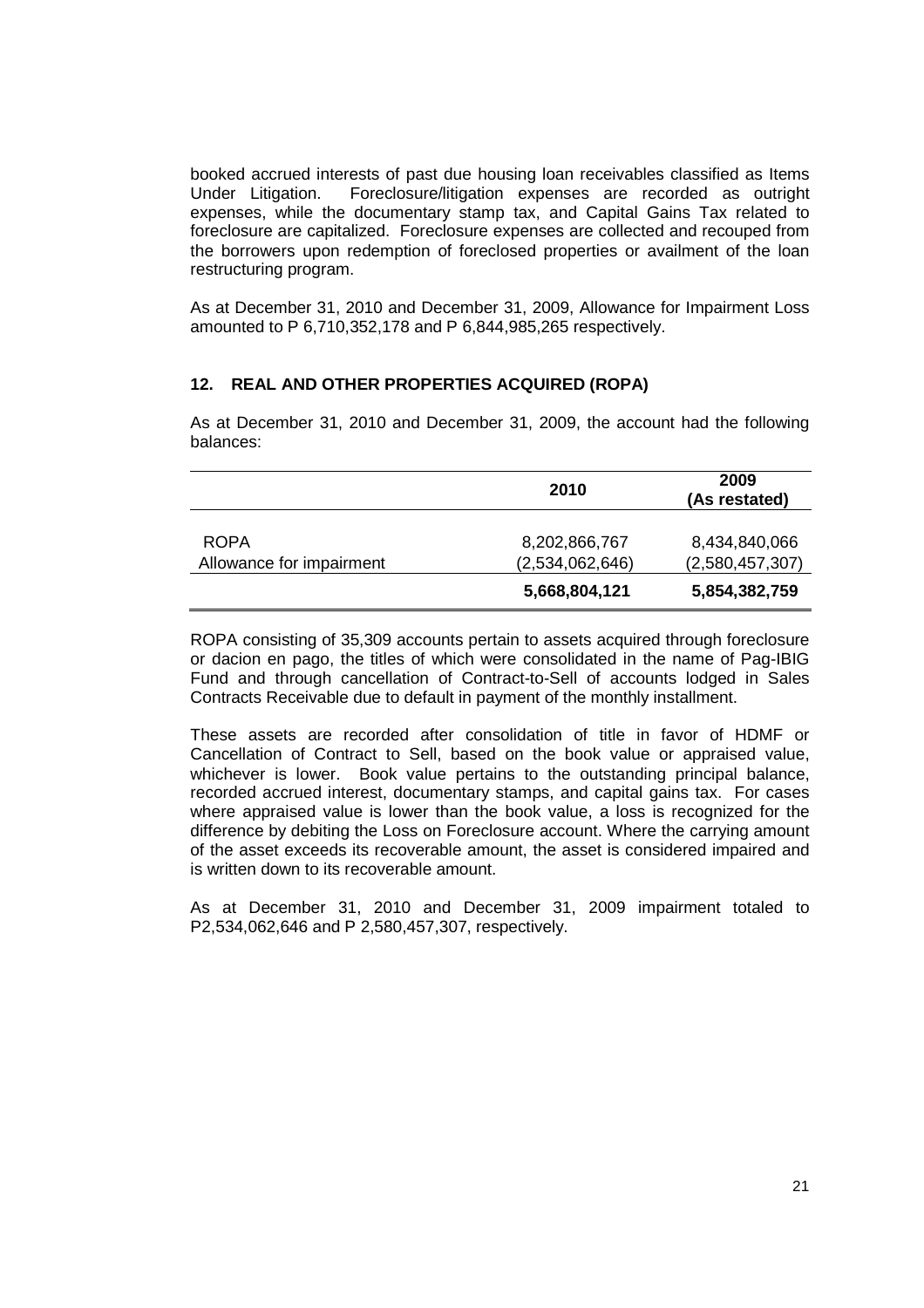booked accrued interests of past due housing loan receivables classified as Items Under Litigation. Foreclosure/litigation expenses are recorded as outright expenses, while the documentary stamp tax, and Capital Gains Tax related to foreclosure are capitalized. Foreclosure expenses are collected and recouped from the borrowers upon redemption of foreclosed properties or availment of the loan restructuring program.

As at December 31, 2010 and December 31, 2009, Allowance for Impairment Loss amounted to P 6,710,352,178 and P 6,844,985,265 respectively.

### **12. REAL AND OTHER PROPERTIES ACQUIRED (ROPA)**

As at December 31, 2010 and December 31, 2009, the account had the following balances:

|                          | 2010            | 2009<br>(As restated) |  |
|--------------------------|-----------------|-----------------------|--|
|                          |                 |                       |  |
| <b>ROPA</b>              | 8,202,866,767   | 8,434,840,066         |  |
| Allowance for impairment | (2,534,062,646) | (2,580,457,307)       |  |
|                          | 5,668,804,121   | 5,854,382,759         |  |

ROPA consisting of 35,309 accounts pertain to assets acquired through foreclosure or dacion en pago, the titles of which were consolidated in the name of Pag-IBIG Fund and through cancellation of Contract-to-Sell of accounts lodged in Sales Contracts Receivable due to default in payment of the monthly installment.

These assets are recorded after consolidation of title in favor of HDMF or Cancellation of Contract to Sell, based on the book value or appraised value, whichever is lower. Book value pertains to the outstanding principal balance, recorded accrued interest, documentary stamps, and capital gains tax. For cases where appraised value is lower than the book value, a loss is recognized for the difference by debiting the Loss on Foreclosure account. Where the carrying amount of the asset exceeds its recoverable amount, the asset is considered impaired and is written down to its recoverable amount.

As at December 31, 2010 and December 31, 2009 impairment totaled to P2,534,062,646 and P 2,580,457,307, respectively.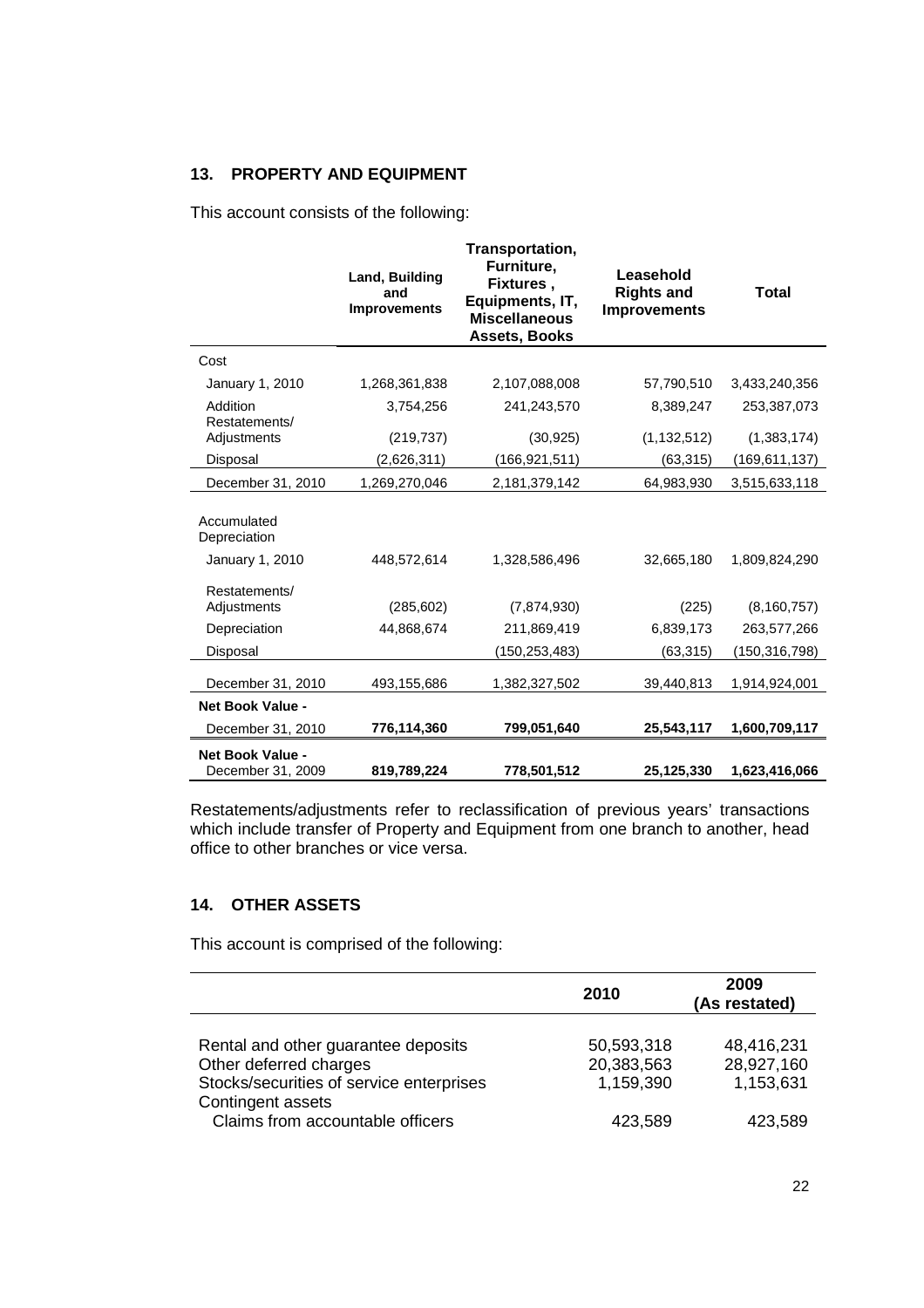### **13. PROPERTY AND EQUIPMENT**

This account consists of the following:

|                                              | Land, Building<br>and<br><b>Improvements</b> | Transportation,<br>Furniture,<br>Fixtures,<br>Equipments, IT,<br><b>Miscellaneous</b><br>Assets, Books | Leasehold<br><b>Rights and</b><br><b>Improvements</b> | Total           |
|----------------------------------------------|----------------------------------------------|--------------------------------------------------------------------------------------------------------|-------------------------------------------------------|-----------------|
| Cost                                         |                                              |                                                                                                        |                                                       |                 |
| January 1, 2010                              | 1,268,361,838                                | 2,107,088,008                                                                                          | 57,790,510                                            | 3,433,240,356   |
| Addition<br>Restatements/                    | 3,754,256                                    | 241,243,570                                                                                            | 8,389,247                                             | 253,387,073     |
| Adjustments                                  | (219, 737)                                   | (30, 925)                                                                                              | (1, 132, 512)                                         | (1,383,174)     |
| Disposal                                     | (2,626,311)                                  | (166,921,511)                                                                                          | (63,315)                                              | (169,611,137)   |
| December 31, 2010                            | 1,269,270,046                                | 2,181,379,142                                                                                          | 64,983,930                                            | 3,515,633,118   |
| Accumulated<br>Depreciation                  |                                              |                                                                                                        |                                                       |                 |
| January 1, 2010                              | 448,572,614                                  | 1,328,586,496                                                                                          | 32,665,180                                            | 1,809,824,290   |
| Restatements/<br>Adjustments                 | (285, 602)                                   | (7,874,930)                                                                                            | (225)                                                 | (8, 160, 757)   |
| Depreciation                                 | 44,868,674                                   | 211,869,419                                                                                            | 6,839,173                                             | 263,577,266     |
| Disposal                                     |                                              | (150,253,483)                                                                                          | (63, 315)                                             | (150, 316, 798) |
| December 31, 2010                            | 493,155,686                                  | 1,382,327,502                                                                                          | 39,440,813                                            | 1,914,924,001   |
| <b>Net Book Value -</b>                      |                                              |                                                                                                        |                                                       |                 |
| December 31, 2010                            | 776,114,360                                  | 799,051,640                                                                                            | 25,543,117                                            | 1,600,709,117   |
| <b>Net Book Value -</b><br>December 31, 2009 | 819,789,224                                  | 778,501,512                                                                                            | 25,125,330                                            | 1,623,416,066   |

Restatements/adjustments refer to reclassification of previous years' transactions which include transfer of Property and Equipment from one branch to another, head office to other branches or vice versa.

## **14. OTHER ASSETS**

This account is comprised of the following:

|                                                                                                                                                                    | 2010                                             | 2009<br>(As restated)                            |
|--------------------------------------------------------------------------------------------------------------------------------------------------------------------|--------------------------------------------------|--------------------------------------------------|
| Rental and other guarantee deposits<br>Other deferred charges<br>Stocks/securities of service enterprises<br>Contingent assets<br>Claims from accountable officers | 50,593,318<br>20,383,563<br>1,159,390<br>423,589 | 48,416,231<br>28,927,160<br>1,153,631<br>423,589 |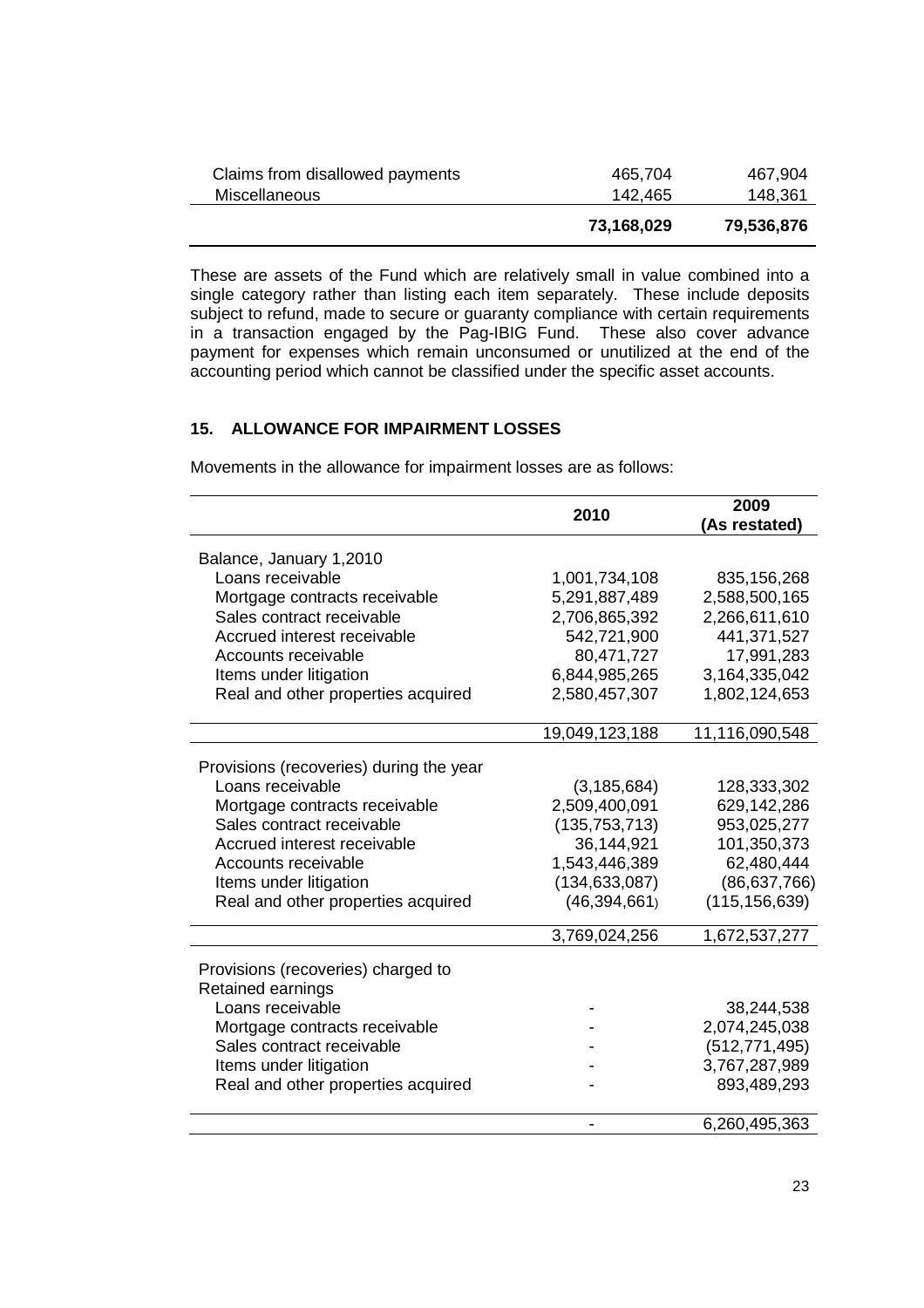|                                 | 73,168,029 | 79,536,876 |
|---------------------------------|------------|------------|
| Miscellaneous                   | 142.465    | 148,361    |
| Claims from disallowed payments | 465.704    | 467.904    |

These are assets of the Fund which are relatively small in value combined into a single category rather than listing each item separately. These include deposits subject to refund, made to secure or guaranty compliance with certain requirements in a transaction engaged by the Pag-IBIG Fund. These also cover advance payment for expenses which remain unconsumed or unutilized at the end of the accounting period which cannot be classified under the specific asset accounts.

### **15. ALLOWANCE FOR IMPAIRMENT LOSSES**

Movements in the allowance for impairment losses are as follows:

|                                         | 2010            | 2009             |
|-----------------------------------------|-----------------|------------------|
|                                         |                 | (As restated)    |
| Balance, January 1,2010                 |                 |                  |
| Loans receivable                        | 1,001,734,108   | 835, 156, 268    |
| Mortgage contracts receivable           | 5,291,887,489   | 2,588,500,165    |
| Sales contract receivable               | 2,706,865,392   | 2,266,611,610    |
| Accrued interest receivable             | 542,721,900     | 441,371,527      |
| Accounts receivable                     | 80,471,727      | 17,991,283       |
| Items under litigation                  | 6,844,985,265   | 3, 164, 335, 042 |
| Real and other properties acquired      | 2,580,457,307   | 1,802,124,653    |
|                                         |                 |                  |
|                                         | 19,049,123,188  | 11,116,090,548   |
| Provisions (recoveries) during the year |                 |                  |
| Loans receivable                        | (3, 185, 684)   | 128,333,302      |
| Mortgage contracts receivable           | 2,509,400,091   | 629,142,286      |
| Sales contract receivable               | (135, 753, 713) | 953,025,277      |
| Accrued interest receivable             | 36,144,921      | 101,350,373      |
| Accounts receivable                     | 1,543,446,389   | 62,480,444       |
| Items under litigation                  | (134, 633, 087) | (86, 637, 766)   |
| Real and other properties acquired      | (46, 394, 661)  | (115, 156, 639)  |
|                                         |                 |                  |
|                                         | 3,769,024,256   | 1,672,537,277    |
| Provisions (recoveries) charged to      |                 |                  |
| Retained earnings                       |                 |                  |
| Loans receivable                        |                 | 38,244,538       |
| Mortgage contracts receivable           |                 | 2,074,245,038    |
| Sales contract receivable               |                 | (512, 771, 495)  |
| Items under litigation                  |                 | 3,767,287,989    |
| Real and other properties acquired      |                 | 893,489,293      |
|                                         |                 | 6,260,495,363    |
|                                         |                 |                  |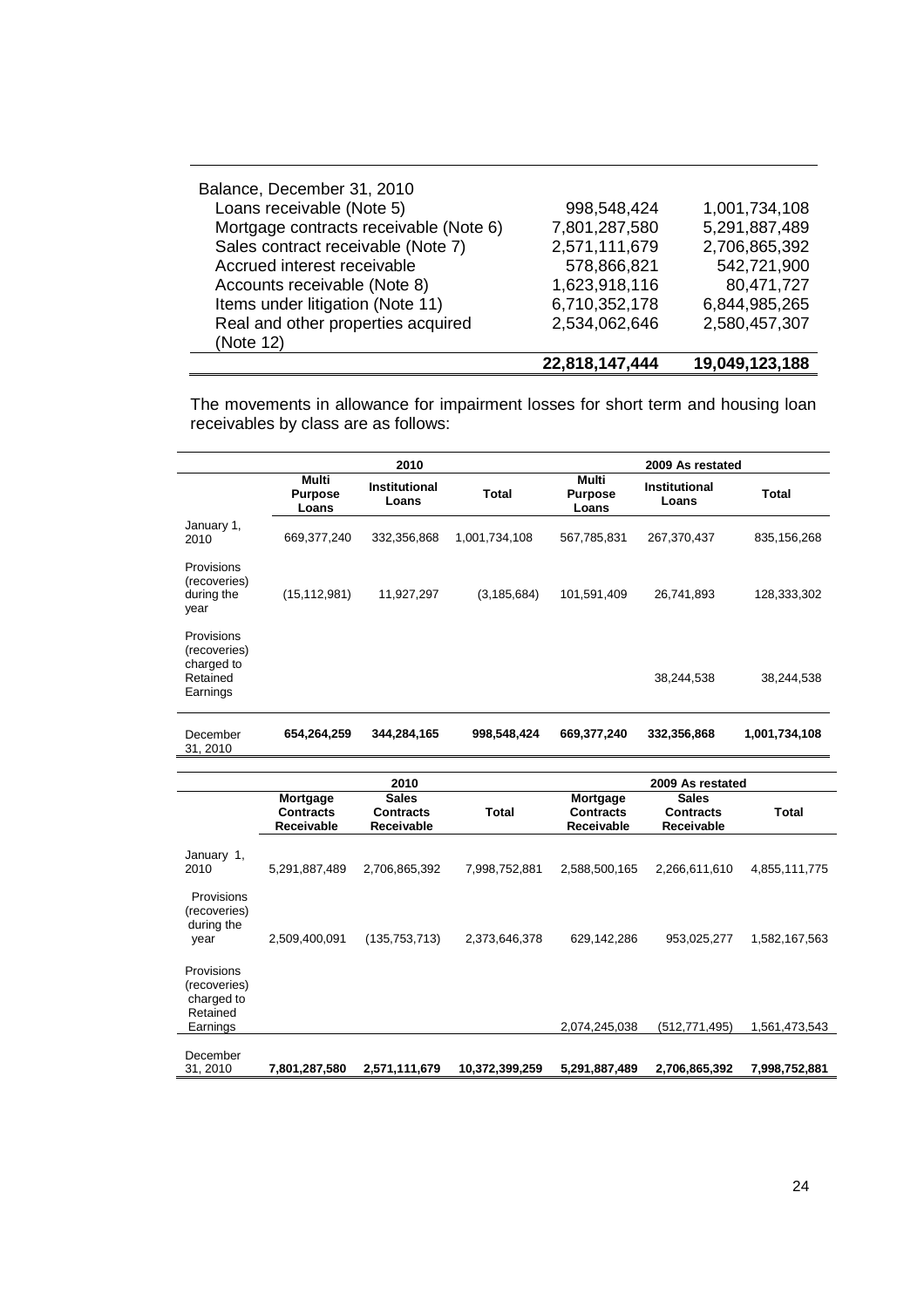|                                        | 22,818,147,444 | 19,049,123,188 |
|----------------------------------------|----------------|----------------|
| (Note 12)                              |                |                |
| Real and other properties acquired     | 2,534,062,646  | 2,580,457,307  |
| Items under litigation (Note 11)       | 6,710,352,178  | 6,844,985,265  |
| Accounts receivable (Note 8)           | 1,623,918,116  | 80,471,727     |
| Accrued interest receivable            | 578,866,821    | 542,721,900    |
| Sales contract receivable (Note 7)     | 2,571,111,679  | 2,706,865,392  |
| Mortgage contracts receivable (Note 6) | 7,801,287,580  | 5,291,887,489  |
| Loans receivable (Note 5)              | 998,548,424    | 1,001,734,108  |
| Balance, December 31, 2010             |                |                |

The movements in allowance for impairment losses for short term and housing loan receivables by class are as follows:

|                                                                  |                                  | 2010                   |               |                                  | 2009 As restated              |               |
|------------------------------------------------------------------|----------------------------------|------------------------|---------------|----------------------------------|-------------------------------|---------------|
|                                                                  | Multi<br><b>Purpose</b><br>Loans | Institutional<br>Loans | Total         | Multi<br><b>Purpose</b><br>Loans | <b>Institutional</b><br>Loans | Total         |
| January 1,<br>2010                                               | 669,377,240                      | 332,356,868            | 1,001,734,108 | 567,785,831                      | 267,370,437                   | 835,156,268   |
| Provisions<br>(recoveries)<br>during the<br>year                 | (15, 112, 981)                   | 11,927,297             | (3, 185, 684) | 101,591,409                      | 26,741,893                    | 128,333,302   |
| Provisions<br>(recoveries)<br>charged to<br>Retained<br>Earnings |                                  |                        |               |                                  | 38,244,538                    | 38,244,538    |
| December                                                         | 654,264,259                      | 344,284,165            | 998,548,424   | 669,377,240                      | 332,356,868                   | 1,001,734,108 |

31, 2010

|                                                                  |                                            | 2010                                           |                |                                                   | 2009 As restated                               |               |  |
|------------------------------------------------------------------|--------------------------------------------|------------------------------------------------|----------------|---------------------------------------------------|------------------------------------------------|---------------|--|
|                                                                  | Mortgage<br><b>Contracts</b><br>Receivable | <b>Sales</b><br><b>Contracts</b><br>Receivable | Total          | Mortgage<br><b>Contracts</b><br><b>Receivable</b> | <b>Sales</b><br><b>Contracts</b><br>Receivable | Total         |  |
| January 1,<br>2010                                               | 5,291,887,489                              | 2,706,865,392                                  | 7,998,752,881  | 2,588,500,165                                     | 2,266,611,610                                  | 4,855,111,775 |  |
| Provisions<br>(recoveries)<br>during the<br>year                 | 2,509,400,091                              | (135, 753, 713)                                | 2,373,646,378  | 629,142,286                                       | 953,025,277                                    | 1,582,167,563 |  |
| Provisions<br>(recoveries)<br>charged to<br>Retained<br>Earnings |                                            |                                                |                | 2,074,245,038                                     | (512,771,495)                                  | 1,561,473,543 |  |
| December<br>31, 2010                                             | 7,801,287,580                              | 2,571,111,679                                  | 10,372,399,259 | 5,291,887,489                                     | 2,706,865,392                                  | 7,998,752,881 |  |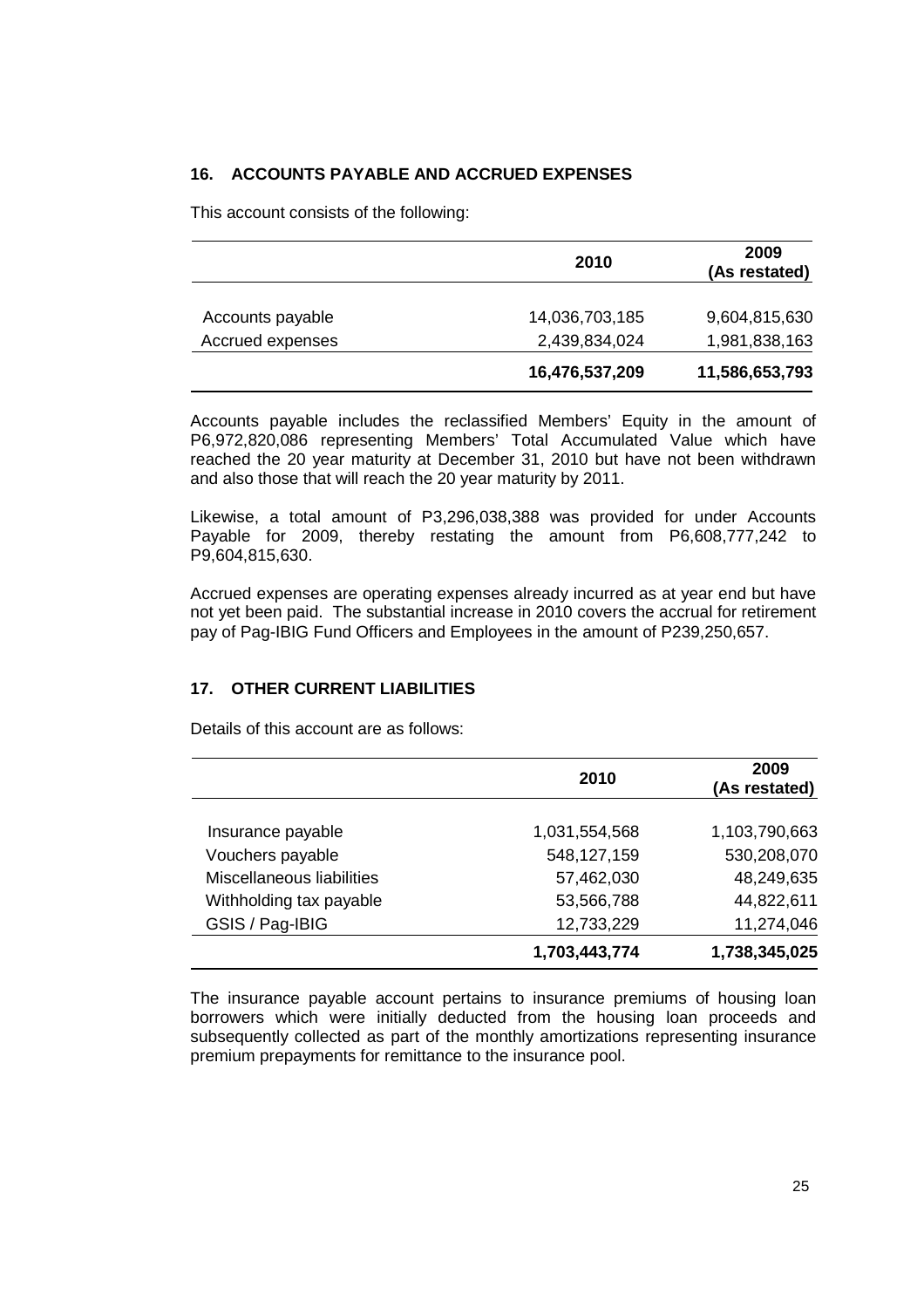## **16. ACCOUNTS PAYABLE AND ACCRUED EXPENSES**

This account consists of the following:

|                  | 2010           | 2009<br>(As restated) |
|------------------|----------------|-----------------------|
| Accounts payable | 14,036,703,185 | 9,604,815,630         |
| Accrued expenses | 2,439,834,024  | 1,981,838,163         |
|                  | 16,476,537,209 | 11,586,653,793        |

Accounts payable includes the reclassified Members' Equity in the amount of P6,972,820,086 representing Members' Total Accumulated Value which have reached the 20 year maturity at December 31, 2010 but have not been withdrawn and also those that will reach the 20 year maturity by 2011.

Likewise, a total amount of P3,296,038,388 was provided for under Accounts Payable for 2009, thereby restating the amount from P6,608,777,242 to P9,604,815,630.

Accrued expenses are operating expenses already incurred as at year end but have not yet been paid. The substantial increase in 2010 covers the accrual for retirement pay of Pag-IBIG Fund Officers and Employees in the amount of P239,250,657.

## **17. OTHER CURRENT LIABILITIES**

Details of this account are as follows:

|                           | 2010          | 2009<br>(As restated) |
|---------------------------|---------------|-----------------------|
|                           | 1,031,554,568 | 1,103,790,663         |
| Insurance payable         |               |                       |
| Vouchers payable          | 548,127,159   | 530,208,070           |
| Miscellaneous liabilities | 57,462,030    | 48,249,635            |
| Withholding tax payable   | 53,566,788    | 44,822,611            |
| GSIS / Pag-IBIG           | 12,733,229    | 11,274,046            |
|                           | 1,703,443,774 | 1,738,345,025         |

The insurance payable account pertains to insurance premiums of housing loan borrowers which were initially deducted from the housing loan proceeds and subsequently collected as part of the monthly amortizations representing insurance premium prepayments for remittance to the insurance pool.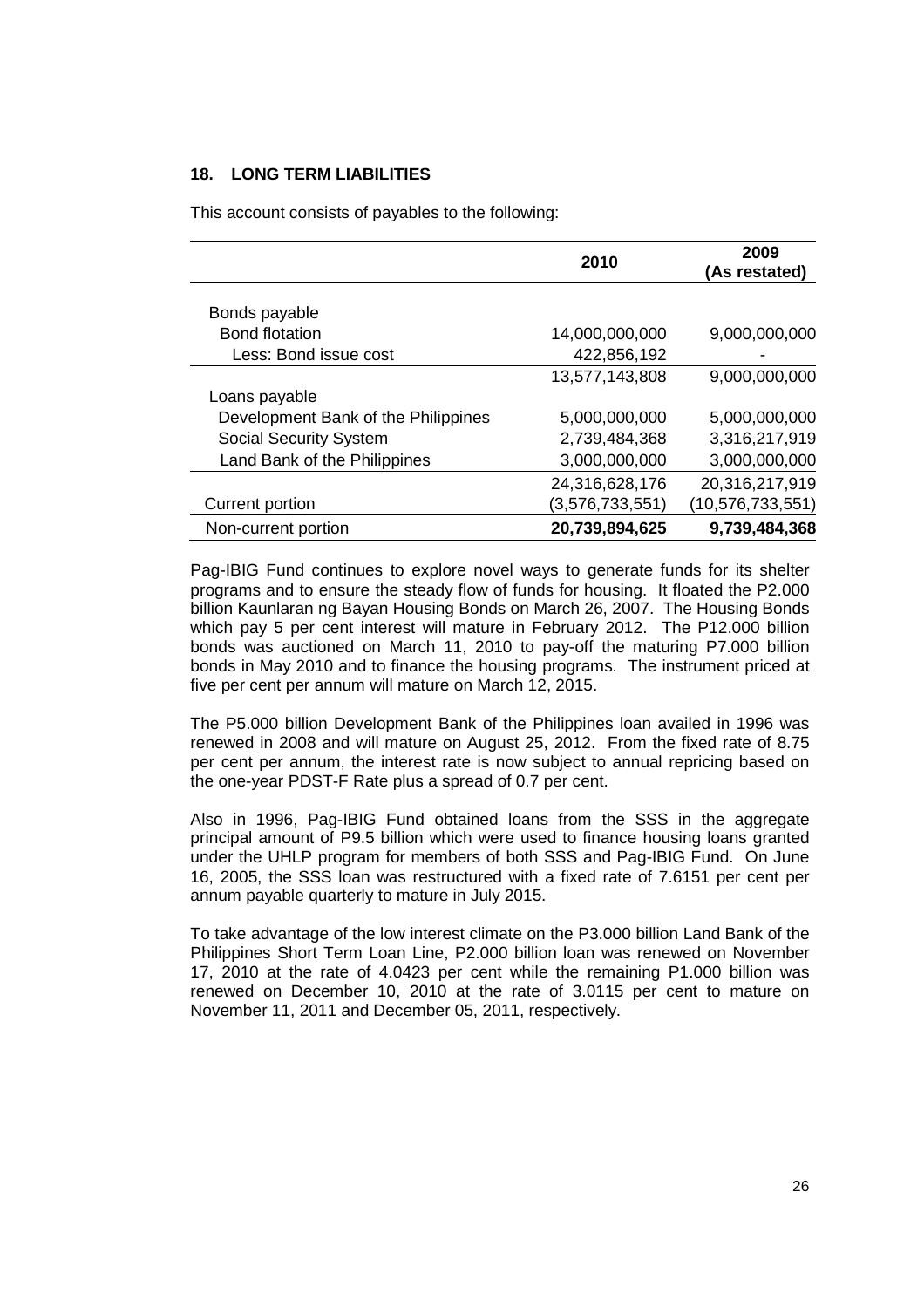## **18. LONG TERM LIABILITIES**

This account consists of payables to the following:

|                                     | 2010            | 2009<br>(As restated) |
|-------------------------------------|-----------------|-----------------------|
|                                     |                 |                       |
| Bonds payable                       |                 |                       |
| <b>Bond flotation</b>               | 14,000,000,000  | 9,000,000,000         |
| Less: Bond issue cost               | 422,856,192     |                       |
|                                     | 13,577,143,808  | 9,000,000,000         |
| Loans payable                       |                 |                       |
| Development Bank of the Philippines | 5,000,000,000   | 5,000,000,000         |
| Social Security System              | 2,739,484,368   | 3,316,217,919         |
| Land Bank of the Philippines        | 3,000,000,000   | 3,000,000,000         |
|                                     | 24,316,628,176  | 20,316,217,919        |
| Current portion                     | (3,576,733,551) | (10, 576, 733, 551)   |
| Non-current portion                 | 20,739,894,625  | 9,739,484,368         |

Pag-IBIG Fund continues to explore novel ways to generate funds for its shelter programs and to ensure the steady flow of funds for housing. It floated the P2.000 billion Kaunlaran ng Bayan Housing Bonds on March 26, 2007. The Housing Bonds which pay 5 per cent interest will mature in February 2012. The P12.000 billion bonds was auctioned on March 11, 2010 to pay-off the maturing P7.000 billion bonds in May 2010 and to finance the housing programs. The instrument priced at five per cent per annum will mature on March 12, 2015.

The P5.000 billion Development Bank of the Philippines loan availed in 1996 was renewed in 2008 and will mature on August 25, 2012. From the fixed rate of 8.75 per cent per annum, the interest rate is now subject to annual repricing based on the one-year PDST-F Rate plus a spread of 0.7 per cent.

Also in 1996, Pag-IBIG Fund obtained loans from the SSS in the aggregate principal amount of P9.5 billion which were used to finance housing loans granted under the UHLP program for members of both SSS and Pag-IBIG Fund. On June 16, 2005, the SSS loan was restructured with a fixed rate of 7.6151 per cent per annum payable quarterly to mature in July 2015.

To take advantage of the low interest climate on the P3.000 billion Land Bank of the Philippines Short Term Loan Line, P2.000 billion loan was renewed on November 17, 2010 at the rate of 4.0423 per cent while the remaining P1.000 billion was renewed on December 10, 2010 at the rate of 3.0115 per cent to mature on November 11, 2011 and December 05, 2011, respectively.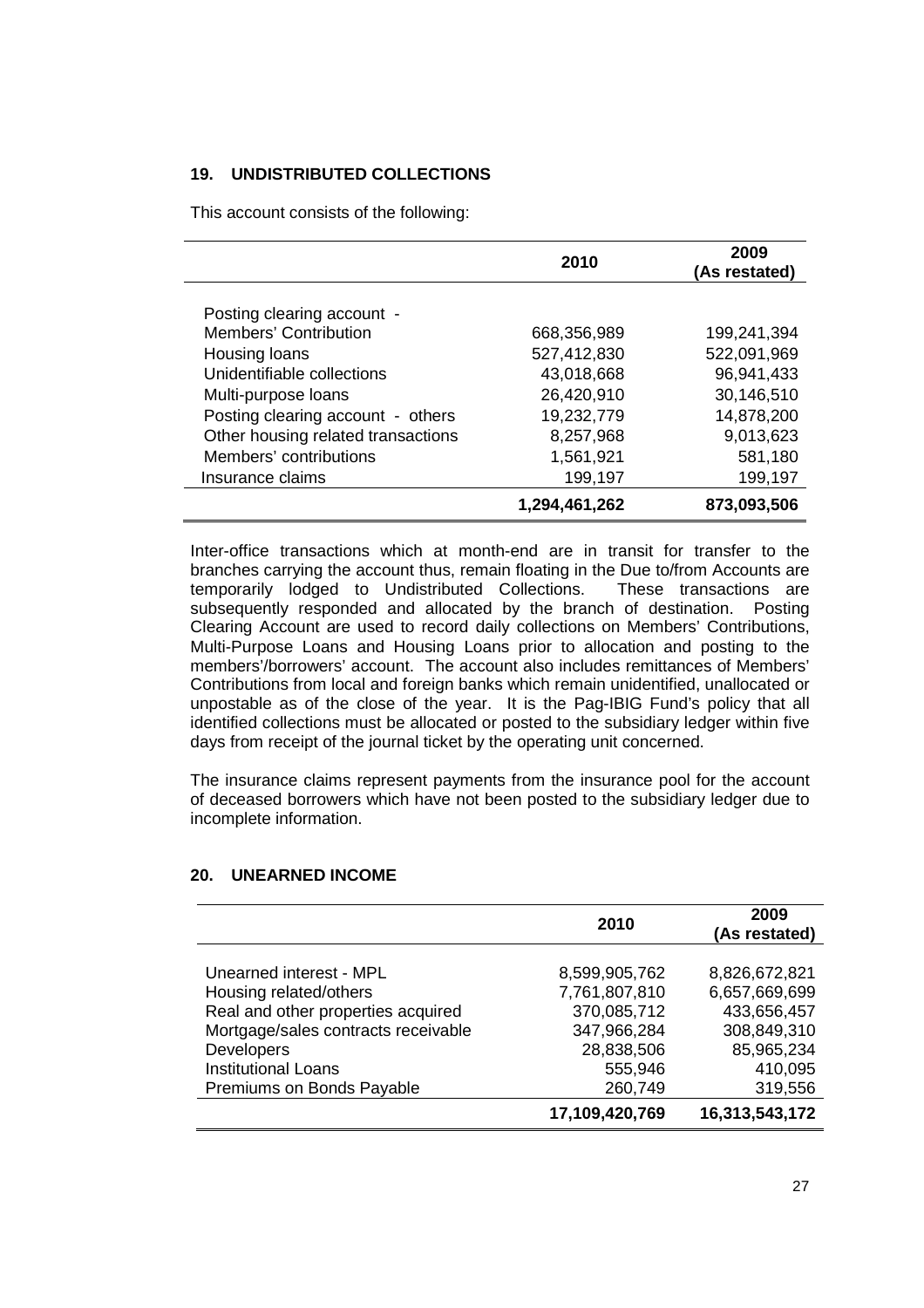## **19. UNDISTRIBUTED COLLECTIONS**

This account consists of the following:

|                                    | 2010          | 2009<br>(As restated) |
|------------------------------------|---------------|-----------------------|
| Posting clearing account -         |               |                       |
| <b>Members' Contribution</b>       | 668,356,989   | 199,241,394           |
| Housing loans                      | 527,412,830   | 522,091,969           |
| Unidentifiable collections         | 43,018,668    | 96,941,433            |
| Multi-purpose loans                | 26,420,910    | 30,146,510            |
| Posting clearing account - others  | 19,232,779    | 14,878,200            |
| Other housing related transactions | 8,257,968     | 9,013,623             |
| Members' contributions             | 1,561,921     | 581,180               |
| Insurance claims                   | 199,197       | 199,197               |
|                                    | 1,294,461,262 | 873,093,506           |

Inter-office transactions which at month-end are in transit for transfer to the branches carrying the account thus, remain floating in the Due to/from Accounts are temporarily lodged to Undistributed Collections. These transactions are subsequently responded and allocated by the branch of destination. Posting Clearing Account are used to record daily collections on Members' Contributions, Multi-Purpose Loans and Housing Loans prior to allocation and posting to the members'/borrowers' account. The account also includes remittances of Members' Contributions from local and foreign banks which remain unidentified, unallocated or unpostable as of the close of the year. It is the Pag-IBIG Fund's policy that all identified collections must be allocated or posted to the subsidiary ledger within five days from receipt of the journal ticket by the operating unit concerned.

The insurance claims represent payments from the insurance pool for the account of deceased borrowers which have not been posted to the subsidiary ledger due to incomplete information.

|                                     | 2010           | 2009<br>(As restated) |
|-------------------------------------|----------------|-----------------------|
|                                     |                |                       |
| Unearned interest - MPL             | 8,599,905,762  | 8,826,672,821         |
| Housing related/others              | 7,761,807,810  | 6,657,669,699         |
| Real and other properties acquired  | 370,085,712    | 433,656,457           |
| Mortgage/sales contracts receivable | 347,966,284    | 308,849,310           |
| <b>Developers</b>                   | 28,838,506     | 85,965,234            |
| <b>Institutional Loans</b>          | 555,946        | 410,095               |
| Premiums on Bonds Payable           | 260,749        | 319,556               |
|                                     | 17,109,420,769 | 16,313,543,172        |

# **20. UNEARNED INCOME**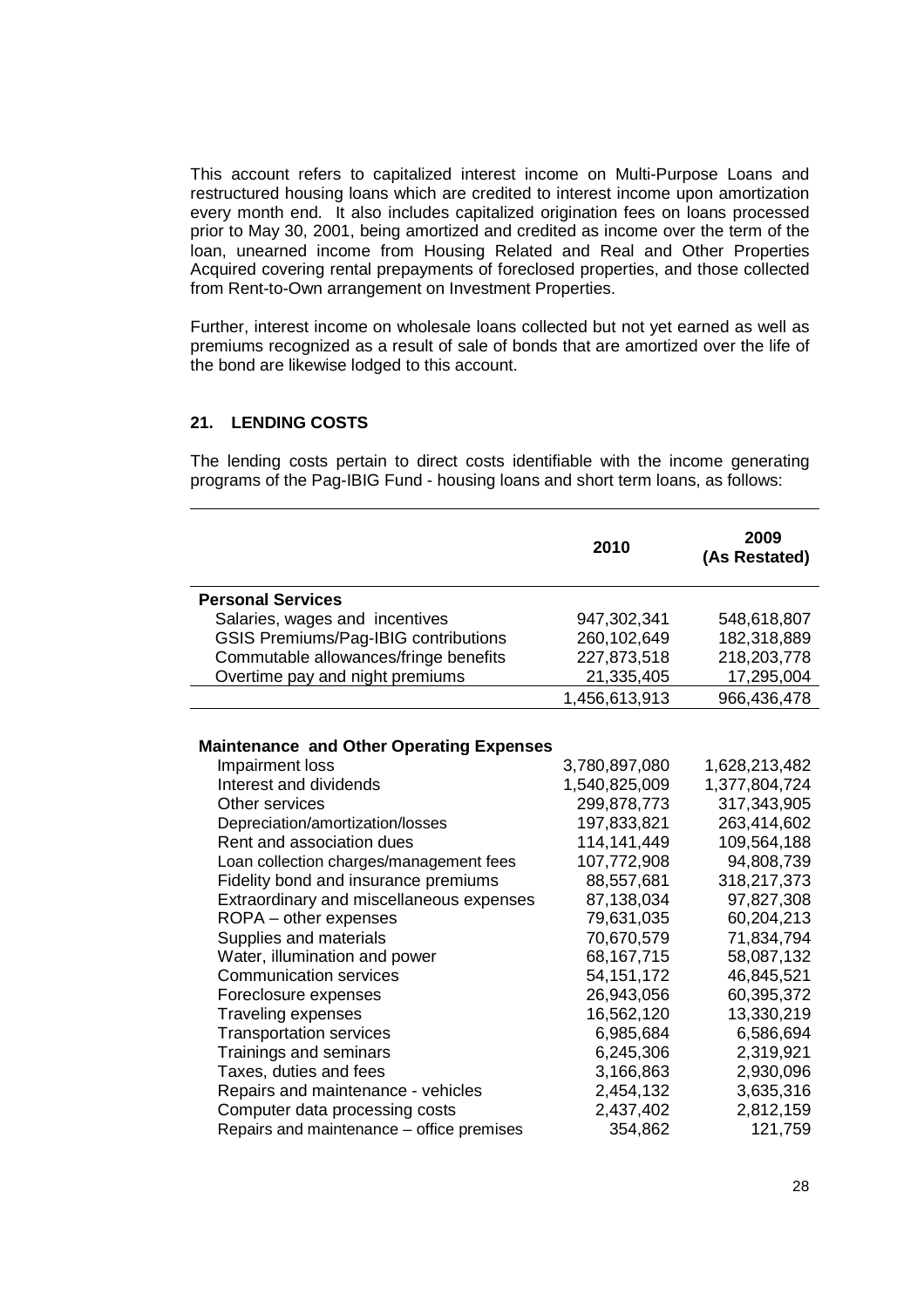This account refers to capitalized interest income on Multi-Purpose Loans and restructured housing loans which are credited to interest income upon amortization every month end. It also includes capitalized origination fees on loans processed prior to May 30, 2001, being amortized and credited as income over the term of the loan, unearned income from Housing Related and Real and Other Properties Acquired covering rental prepayments of foreclosed properties, and those collected from Rent-to-Own arrangement on Investment Properties.

Further, interest income on wholesale loans collected but not yet earned as well as premiums recognized as a result of sale of bonds that are amortized over the life of the bond are likewise lodged to this account.

### **21. LENDING COSTS**

The lending costs pertain to direct costs identifiable with the income generating programs of the Pag-IBIG Fund - housing loans and short term loans, as follows:

|                                                 | 2010          | 2009<br>(As Restated) |
|-------------------------------------------------|---------------|-----------------------|
| <b>Personal Services</b>                        |               |                       |
| Salaries, wages and incentives                  | 947,302,341   | 548,618,807           |
| GSIS Premiums/Pag-IBIG contributions            | 260,102,649   | 182,318,889           |
| Commutable allowances/fringe benefits           | 227,873,518   | 218,203,778           |
| Overtime pay and night premiums                 | 21,335,405    | 17,295,004            |
|                                                 | 1,456,613,913 | 966,436,478           |
| <b>Maintenance and Other Operating Expenses</b> |               |                       |
| Impairment loss                                 | 3,780,897,080 | 1,628,213,482         |
| Interest and dividends                          | 1,540,825,009 | 1,377,804,724         |
| Other services                                  | 299,878,773   | 317,343,905           |
| Depreciation/amortization/losses                | 197,833,821   | 263,414,602           |
| Rent and association dues                       | 114,141,449   | 109,564,188           |
| Loan collection charges/management fees         | 107,772,908   | 94,808,739            |
| Fidelity bond and insurance premiums            | 88,557,681    | 318,217,373           |
| Extraordinary and miscellaneous expenses        | 87,138,034    | 97,827,308            |
| ROPA – other expenses                           | 79,631,035    | 60,204,213            |
| Supplies and materials                          | 70,670,579    | 71,834,794            |
| Water, illumination and power                   | 68,167,715    | 58,087,132            |
| <b>Communication services</b>                   | 54, 151, 172  | 46,845,521            |
| Foreclosure expenses                            | 26,943,056    | 60,395,372            |
| <b>Traveling expenses</b>                       | 16,562,120    | 13,330,219            |
| <b>Transportation services</b>                  | 6,985,684     | 6,586,694             |
| Trainings and seminars                          | 6,245,306     | 2,319,921             |
| Taxes, duties and fees                          | 3,166,863     | 2,930,096             |
| Repairs and maintenance - vehicles              | 2,454,132     | 3,635,316             |
| Computer data processing costs                  | 2,437,402     | 2,812,159             |
| Repairs and maintenance – office premises       | 354,862       | 121,759               |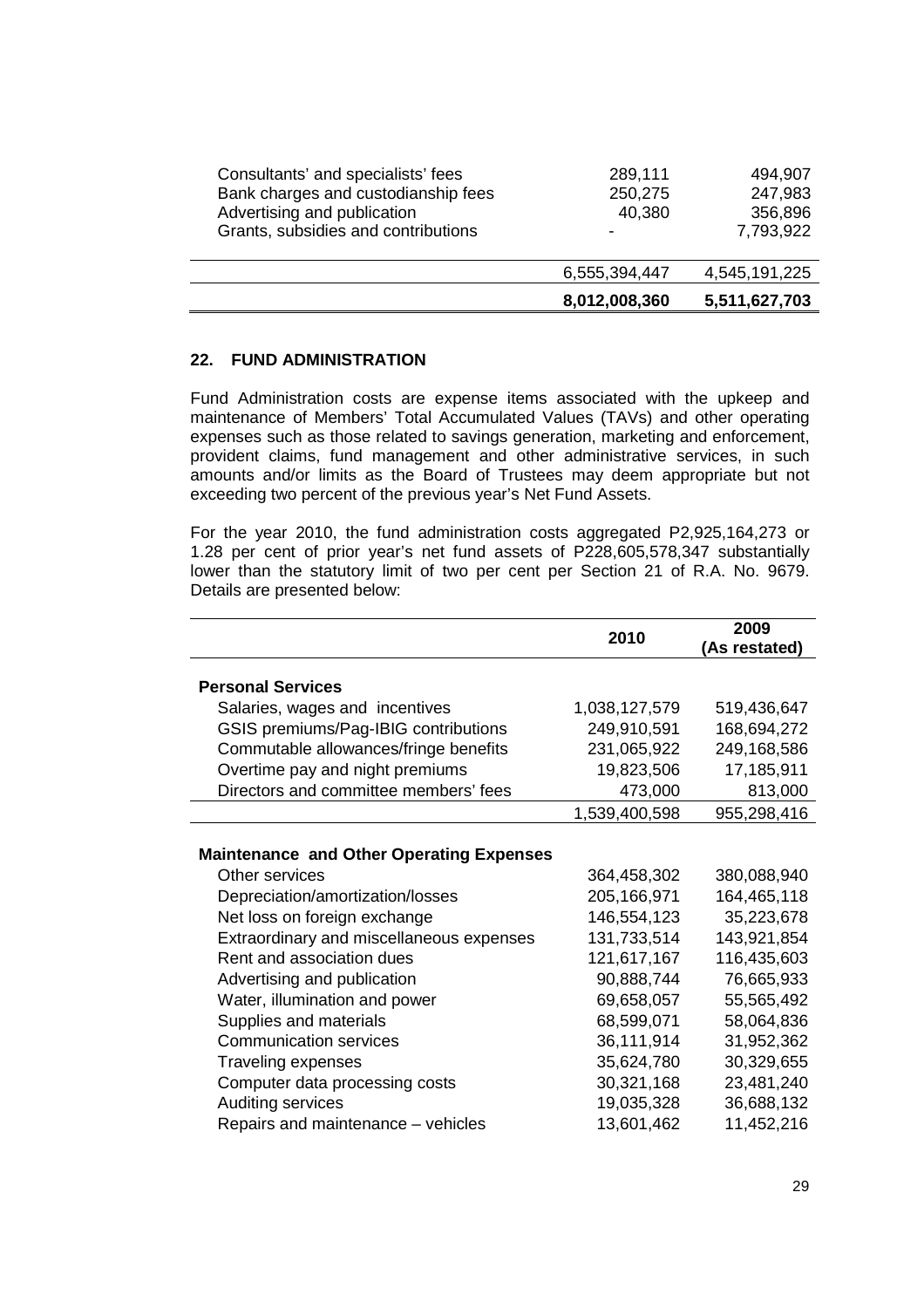| Consultants' and specialists' fees<br>Bank charges and custodianship fees<br>Advertising and publication<br>Grants, subsidies and contributions | 289,111<br>250,275<br>40,380 | 494,907<br>247,983<br>356,896<br>7,793,922 |
|-------------------------------------------------------------------------------------------------------------------------------------------------|------------------------------|--------------------------------------------|
|                                                                                                                                                 | 6,555,394,447                | 4,545,191,225                              |
|                                                                                                                                                 | 8,012,008,360                | 5,511,627,703                              |

### **22. FUND ADMINISTRATION**

Fund Administration costs are expense items associated with the upkeep and maintenance of Members' Total Accumulated Values (TAVs) and other operating expenses such as those related to savings generation, marketing and enforcement, provident claims, fund management and other administrative services, in such amounts and/or limits as the Board of Trustees may deem appropriate but not exceeding two percent of the previous year's Net Fund Assets.

For the year 2010, the fund administration costs aggregated P2,925,164,273 or 1.28 per cent of prior year's net fund assets of P228,605,578,347 substantially lower than the statutory limit of two per cent per Section 21 of R.A. No. 9679. Details are presented below:

|                                                 | 2010          | 2009          |
|-------------------------------------------------|---------------|---------------|
|                                                 |               | (As restated) |
|                                                 |               |               |
| <b>Personal Services</b>                        |               |               |
| Salaries, wages and incentives                  | 1,038,127,579 | 519,436,647   |
| GSIS premiums/Pag-IBIG contributions            | 249,910,591   | 168,694,272   |
| Commutable allowances/fringe benefits           | 231,065,922   | 249,168,586   |
| Overtime pay and night premiums                 | 19,823,506    | 17,185,911    |
| Directors and committee members' fees           | 473,000       | 813,000       |
|                                                 | 1,539,400,598 | 955,298,416   |
|                                                 |               |               |
| <b>Maintenance and Other Operating Expenses</b> |               |               |
| Other services                                  | 364,458,302   | 380,088,940   |
| Depreciation/amortization/losses                | 205,166,971   | 164,465,118   |
| Net loss on foreign exchange                    | 146,554,123   | 35,223,678    |
| Extraordinary and miscellaneous expenses        | 131,733,514   | 143,921,854   |
| Rent and association dues                       | 121,617,167   | 116,435,603   |
| Advertising and publication                     | 90,888,744    | 76,665,933    |
| Water, illumination and power                   | 69,658,057    | 55,565,492    |
| Supplies and materials                          | 68,599,071    | 58,064,836    |
| <b>Communication services</b>                   | 36,111,914    | 31,952,362    |
| <b>Traveling expenses</b>                       | 35,624,780    | 30,329,655    |
| Computer data processing costs                  | 30,321,168    | 23,481,240    |
| Auditing services                               | 19,035,328    | 36,688,132    |
| Repairs and maintenance - vehicles              | 13,601,462    | 11,452,216    |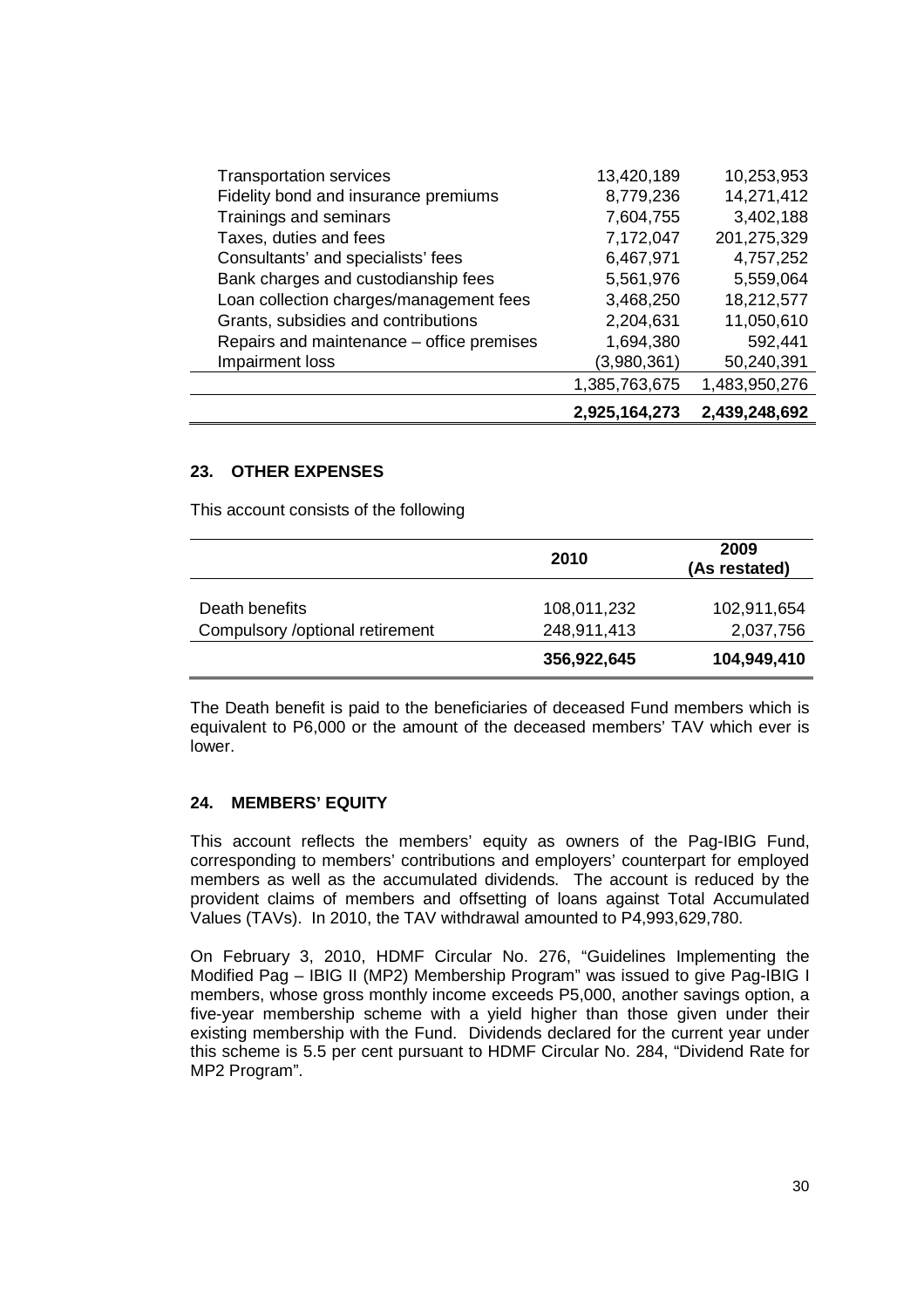| <b>Transportation services</b>            | 13,420,189    | 10,253,953    |
|-------------------------------------------|---------------|---------------|
| Fidelity bond and insurance premiums      | 8,779,236     | 14,271,412    |
| Trainings and seminars                    | 7,604,755     | 3,402,188     |
| Taxes, duties and fees                    | 7,172,047     | 201,275,329   |
| Consultants' and specialists' fees        | 6,467,971     | 4,757,252     |
| Bank charges and custodianship fees       | 5,561,976     | 5,559,064     |
| Loan collection charges/management fees   | 3,468,250     | 18,212,577    |
| Grants, subsidies and contributions       | 2,204,631     | 11,050,610    |
| Repairs and maintenance - office premises | 1,694,380     | 592,441       |
| Impairment loss                           | (3,980,361)   | 50,240,391    |
|                                           | 1,385,763,675 | 1,483,950,276 |
|                                           | 2,925,164,273 | 2,439,248,692 |

#### **23. OTHER EXPENSES**

This account consists of the following

|                                 | 2010        | 2009<br>(As restated) |
|---------------------------------|-------------|-----------------------|
| Death benefits                  | 108,011,232 | 102,911,654           |
| Compulsory /optional retirement | 248,911,413 | 2,037,756             |
|                                 | 356,922,645 | 104,949,410           |

The Death benefit is paid to the beneficiaries of deceased Fund members which is equivalent to P6,000 or the amount of the deceased members' TAV which ever is lower.

#### **24. MEMBERS' EQUITY**

This account reflects the members' equity as owners of the Pag-IBIG Fund, corresponding to members' contributions and employers' counterpart for employed members as well as the accumulated dividends. The account is reduced by the provident claims of members and offsetting of loans against Total Accumulated Values (TAVs). In 2010, the TAV withdrawal amounted to P4,993,629,780.

On February 3, 2010, HDMF Circular No. 276, "Guidelines Implementing the Modified Pag – IBIG II (MP2) Membership Program" was issued to give Pag-IBIG I members, whose gross monthly income exceeds P5,000, another savings option, a five-year membership scheme with a yield higher than those given under their existing membership with the Fund. Dividends declared for the current year under this scheme is 5.5 per cent pursuant to HDMF Circular No. 284, "Dividend Rate for MP2 Program".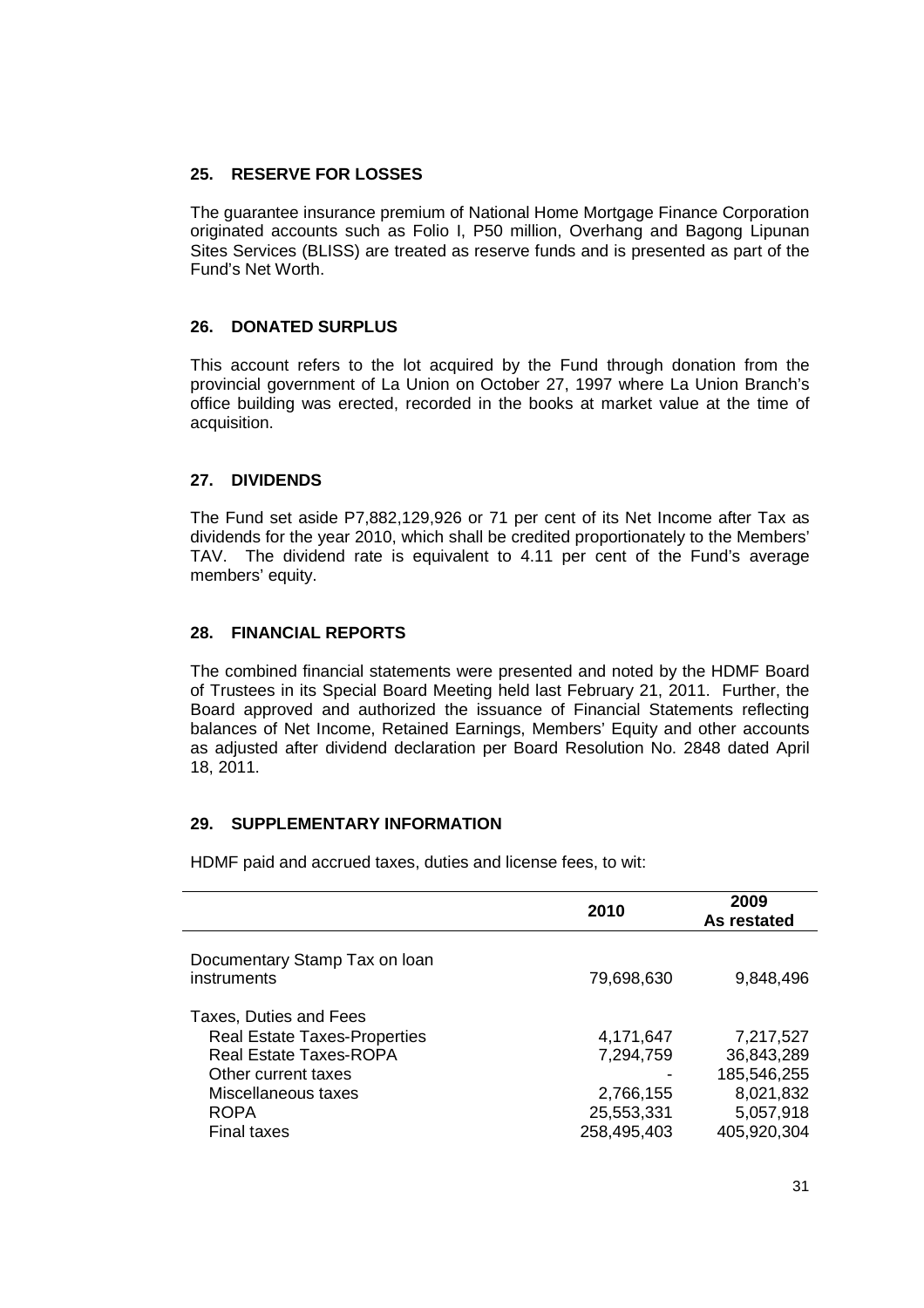## **25. RESERVE FOR LOSSES**

The guarantee insurance premium of National Home Mortgage Finance Corporation originated accounts such as Folio I, P50 million, Overhang and Bagong Lipunan Sites Services (BLISS) are treated as reserve funds and is presented as part of the Fund's Net Worth.

### **26. DONATED SURPLUS**

This account refers to the lot acquired by the Fund through donation from the provincial government of La Union on October 27, 1997 where La Union Branch's office building was erected, recorded in the books at market value at the time of acquisition.

### **27. DIVIDENDS**

The Fund set aside P7,882,129,926 or 71 per cent of its Net Income after Tax as dividends for the year 2010, which shall be credited proportionately to the Members' TAV. The dividend rate is equivalent to 4.11 per cent of the Fund's average members' equity.

### **28. FINANCIAL REPORTS**

The combined financial statements were presented and noted by the HDMF Board of Trustees in its Special Board Meeting held last February 21, 2011. Further, the Board approved and authorized the issuance of Financial Statements reflecting balances of Net Income, Retained Earnings, Members' Equity and other accounts as adjusted after dividend declaration per Board Resolution No. 2848 dated April 18, 2011.

### **29. SUPPLEMENTARY INFORMATION**

HDMF paid and accrued taxes, duties and license fees, to wit:

|                                              | 2010        | 2009<br>As restated |
|----------------------------------------------|-------------|---------------------|
| Documentary Stamp Tax on Ioan<br>instruments | 79,698,630  | 9,848,496           |
| Taxes, Duties and Fees                       |             |                     |
| <b>Real Estate Taxes-Properties</b>          | 4,171,647   | 7,217,527           |
| <b>Real Estate Taxes-ROPA</b>                | 7,294,759   | 36,843,289          |
| Other current taxes                          |             | 185,546,255         |
| Miscellaneous taxes                          | 2,766,155   | 8,021,832           |
| <b>ROPA</b>                                  | 25,553,331  | 5,057,918           |
| <b>Final taxes</b>                           | 258,495,403 | 405,920,304         |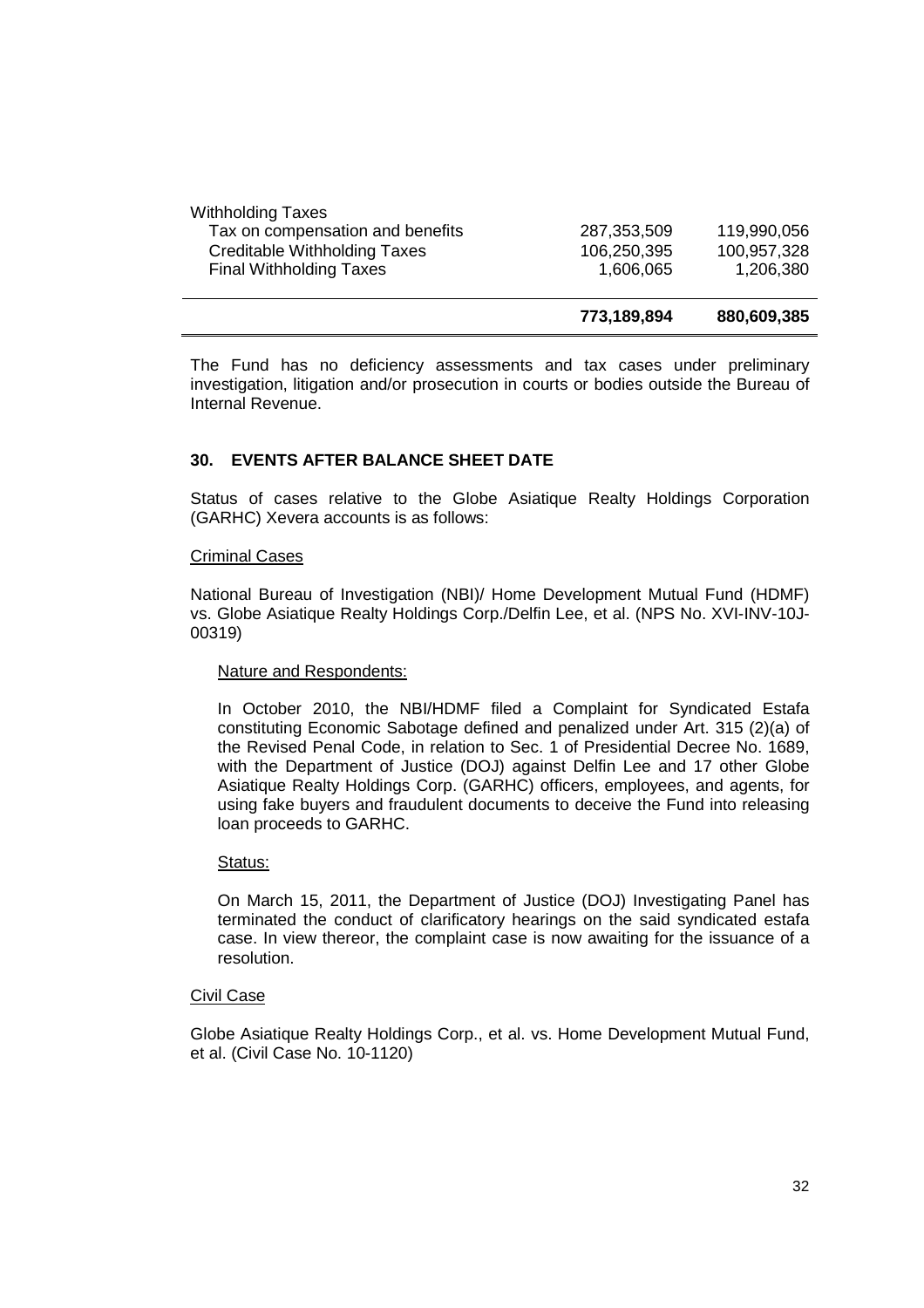|                                     | 773,189,894 | 880,609,385 |
|-------------------------------------|-------------|-------------|
| <b>Final Withholding Taxes</b>      | 1,606,065   | 1,206,380   |
| <b>Creditable Withholding Taxes</b> | 106,250,395 | 100,957,328 |
| Tax on compensation and benefits    | 287,353,509 | 119,990,056 |
| <b>Withholding Taxes</b>            |             |             |

The Fund has no deficiency assessments and tax cases under preliminary investigation, litigation and/or prosecution in courts or bodies outside the Bureau of Internal Revenue.

### **30. EVENTS AFTER BALANCE SHEET DATE**

Status of cases relative to the Globe Asiatique Realty Holdings Corporation (GARHC) Xevera accounts is as follows:

#### Criminal Cases

National Bureau of Investigation (NBI)/ Home Development Mutual Fund (HDMF) vs. Globe Asiatique Realty Holdings Corp./Delfin Lee, et al. (NPS No. XVI-INV-10J-00319)

### Nature and Respondents:

In October 2010, the NBI/HDMF filed a Complaint for Syndicated Estafa constituting Economic Sabotage defined and penalized under Art. 315 (2)(a) of the Revised Penal Code, in relation to Sec. 1 of Presidential Decree No. 1689, with the Department of Justice (DOJ) against Delfin Lee and 17 other Globe Asiatique Realty Holdings Corp. (GARHC) officers, employees, and agents, for using fake buyers and fraudulent documents to deceive the Fund into releasing loan proceeds to GARHC.

#### Status:

On March 15, 2011, the Department of Justice (DOJ) Investigating Panel has terminated the conduct of clarificatory hearings on the said syndicated estafa case. In view thereor, the complaint case is now awaiting for the issuance of a resolution.

#### Civil Case

Globe Asiatique Realty Holdings Corp., et al. vs. Home Development Mutual Fund, et al. (Civil Case No. 10-1120)